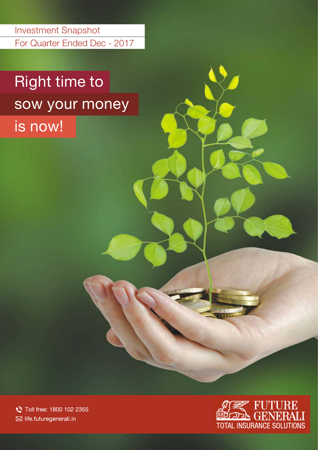For Quarter Ended Dec - 2017 Investment Snapshot

# Right time to sow your money

is now!

Toll free: 1800 102 2355 ⊠ life.futuregenerali.in

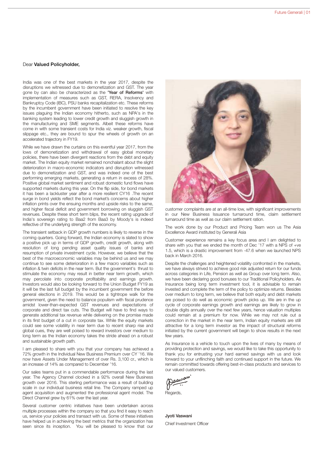#### Dear Valued Policyholder,

India was one of the best markets in the year 2017, despite the disruptions we witnessed due to demonetization and GST. The year gone by can also be characterized as the 'Year of Reforms' with implementation of measures such as GST, RERA, Insolvency and Bankruptcy Code (IBC), PSU banks recapitalization etc. These reforms by the incumbent government have been initiated to resolve the key issues plaguing the Indian economy hitherto, such as NPA's in the banking system leading to lower credit growth and sluggish growth in the manufacturing and SME segments. Albeit these reforms have come in with some transient costs for India viz. weaker growth, fiscal slippage etc., they are bound to spur the wheels of growth on an accelerated trajectory in FY19.

While we have drawn the curtains on this eventful year 2017, from the lows of demonetization and withdrawal of easy global monetary policies, there have been divergent reactions from the debt and equity market. The Indian equity market remained nonchalant about the slight deterioration in macro-economic indicators and disruption witnessed due to demonetization and GST, and was indeed one of the best performing emerging markets, generating a return in excess of 28%. Positive global market sentiment and robust domestic fund flows have supported markets during this year. On the flip side, for bond markets it has been a lackluster year after a more resilient CY16 .The recent surge in bond yields reflect the bond market's concerns about higher inflation prints over the ensuing months and upside risks to the same, and higher fiscal deficit and government borrowing on sluggish GST revenues. Despite these short term blips, the recent rating upgrade of India's sovereign rating to Baa2 from Baa3 by Moody's is indeed reflective of the underlying strength of the economy.

The transient setback in GDP growth numbers is likely to reverse in the coming quarters. Going forward, the Indian economy is slated to show a positive pick up in terms of GDP growth, credit growth, along with resolution of long pending asset quality issues of banks and resumption of private investment cycle. However, we believe that the best of the macroeconomic variables may be behind us and we may continue to see some deterioration in a few macro variables such as inflation & twin deficits in the near term. But the government's thrust to stimulate the economy may result in better near term growth, which may percolate into corporate profitability and earnings growth. Investors would also be looking forward to the Union Budget FY19 as it will be the last full budget by the incumbent government the before general elections in 2019. This would be a tightrope walk for the government, given the need to balance populism with fiscal prudence amidst lower-than-expected GST revenues and expectations of corporate and direct tax cuts. The Budget will have to find ways to generate additional tax revenue while delivering on the promise made in its first budget of a cut in corporate tax. While the equity markets could see some volatility in near term due to recent sharp rise and global cues, they are well poised to reward investors over medium to long term as the Indian economy takes the stride ahead on a robust and sustainable growth path.

I am pleased to share with you that your company has achieved a 72% growth in the Individual New Business Premium over CY '16. We now have Assets Under Management of over Rs. 3,100 cr., which is an increase of 14% as compared to December '16.

Our sales teams put in a commendable performance during the last year. The Agency Channel clocked in a 92% overall New Business growth over 2016. This sterling performance was a result of building scale in our individual business retail line. The Company ramped up agent acquisition and augmented the professional agent model. The Direct Channel grew by 61% over the last year.

Several customer centric initiatives have been undertaken across multiple processes within the company so that you find it easy to reach us, service your policies and transact with us. Some of these initiatives have helped us in achieving the best metrics that the organization has seen since its inception. You will be pleased to know that our



customer complaints are at an all-time low, with significant improvements in our New Business Issuance turnaround time, claim settlement turnaround time as well as our claim settlement ration.

The work done by our Product and Pricing Team won us The Asia Excellence Award instituted by Generali Asia

Customer experience remains a key focus area and I am delighted to share with you that we ended the month of Dec '17 with a NPS of +ve 1.5, which is a drastic improvement from -47.6 when we launched NPS back in March 2016.

Despite the challenges and heightened volatility confronted in the markets, we have always strived to achieve good risk adjusted return for our funds across categories in Life, Pension as well as Group over long term. Also, we have been declaring good bonuses to our Traditional Policyholders. As Insurance being long term investment tool, it is advisable to remain invested and complete the term of the policy to optimize returns. Besides over medium to long term, we believe that both equity and debt markets are poised to do well as economic growth picks up. We are in the up cycle of corporate earnings growth and earnings are likely to grow in double digits annually over the next few years, hence valuation multiples could remain at a premium for now. While we may not rule out a correction in the market in the near term, Indian equity markets are still attractive for a long term investor as the impact of structural reforms initiated by the current government will begin to show results in the next few years.

As Insurance is a vehicle to touch upon the lives of many by means of providing protection and savings, we would like to take this opportunity to thank you for entrusting your hard earned savings with us and look forward to your unflinching faith and continued support in the future. We remain committed towards offering best-in-class products and services to our valued customers.

asurau

Regards,

Jyoti Vaswani Chief Investment Officer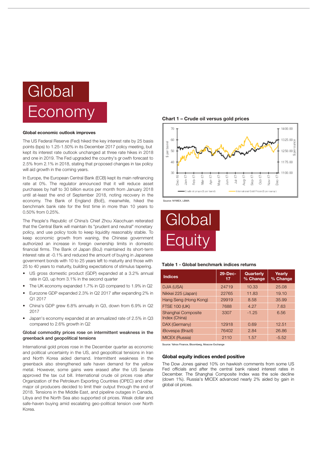# Global Economy

#### Global economic outlook improves

The US Federal Reserve (Fed) hiked the key interest rate by 25 basis points (bps) to 1.25-1.50% in its December 2017 policy meeting, but kept its interest rate outlook unchanged at three rate hikes in 2018 and one in 2019. The Fed upgraded the country's gr owth forecast to 2.5% from 2.1% in 2018, stating that proposed changes in tax policy will aid growth in the coming years.

In Europe, the European Central Bank (ECB) kept its main refinancing rate at 0%. The regulator announced that it will reduce asset purchases by half to 30 billion euros per month from January 2018 until at-least the end of September 2018, noting recovery in the economy. The Bank of England (BoE), meanwhile, hiked the benchmark bank rate for the first time in more than 10 years to 0.50% from 0.25%.

The People's Republic of China's Chief Zhou Xiaochuan reiterated that the Central Bank will maintain its "prudent and neutral" monetary policy, and use policy tools to keep liquidity reasonably stable. To keep economic growth from waning, the Chinese government authorized an increase in foreign ownership limits in domestic financial firms. The Bank of Japan (BoJ) maintained its short-term interest rate at -0.1% and reduced the amount of buying in Japanese government bonds with 10 to 25 years left to maturity and those with 25 to 40 years to maturity, building expectations of stimulus tapering.

- US gross domestic product (GDP) expanded at a 3.2% annual rate in Q3, up from 3.1% in the second quarter
- The UK economy expanded 1.7% in Q3 compared to 1.9% in Q2
- Eurozone GDP expanded 2.3% in Q2 2017 after expanding 2% in Q1 2017
- China's GDP grew 6.8% annually in Q3, down from 6.9% in Q2 2017
- Japan's economy expanded at an annualized rate of 2.5% in Q3 compared to 2.6% growth in Q2

#### Global commodity prices rose on intermittent weakness in the greenback and geopolitical tensions

International gold prices rose in the December quarter as economic and political uncertainty in the US, and geopolitical tensions in Iran and North Korea aided demand. Intermittent weakness in the greenback also strengthened safe haven demand for the yellow metal. However, some gains were erased after the US Senate approved the tax cut bill. International crude oil prices rose after Organization of the Petroleum Exporting Countries (OPEC) and other major oil producers decided to limit their output through the end of 2018. Tensions in the Middle East, and pipeline outages in Canada, Libya and the North Sea also supported oil prices. Weak dollar and safe-haven buying amid escalating geo-political tension over North Korea.

Chart 1 – Crude oil versus gold prices



Source: NYMEX, LBMA



#### Table 1 - Global benchmark indices returns

| <b>Indices</b>                      | 29-Dec-<br>17 | Quarterly<br>% Change | Yearly<br>% Change |
|-------------------------------------|---------------|-----------------------|--------------------|
| DJIA (USA)                          | 24719         | 10.33                 | 25.08              |
| Nikkei 225 (Japan)                  | 22765         | 11.83                 | 19.10              |
| Hang Seng (Hong Kong)               | 29919         | 8.58                  | 35.99              |
| <b>FTSE 100 (UK)</b>                | 7688          | 4.27                  | 7.63               |
| Shanghai Composite<br>Index (China) | 3307          | $-1.25$               | 6.56               |
| DAX (Germany)                       | 12918         | 0.69                  | 12.51              |
| <i><b>iBovespa (Brazil)</b></i>     | 76402         | 2.84                  | 26.86              |
| <b>MICEX (Russia)</b>               | 2110          | 1.57                  | $-5.52$            |

Source: Yahoo Finance, Bloomberg, Moscow Exchange

#### Global equity indices ended positive

The Dow Jones gained 10% on hawkish comments from some US Fed officials and after the central bank raised interest rates in December. The Shanghai Composite Index was the sole decline (down 1%). Russia's MICEX advanced nearly 2% aided by gain in global oil prices.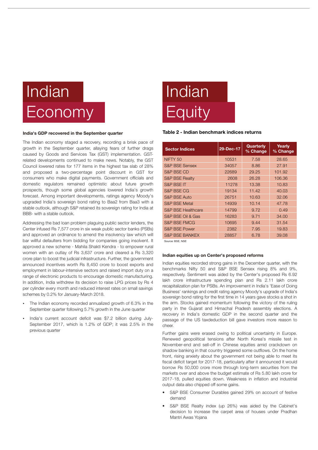

#### India's GDP recovered in the September quarter

The Indian economy staged a recovery, recording a brisk pace of growth in the September quarter, allaying fears of further drags caused by Goods and Services Tax (GST) implementation. GSTrelated developments continued to make news. Notably, the GST Council lowered rates for 177 items in the highest tax slab of 28% and proposed a two-percentage point discount in GST for consumers who make digital payments. Government officials and domestic regulators remained optimistic about future growth prospects, though some global agencies lowered India's growth forecast. Among important developments, ratings agency Moody's upgraded India's sovereign bond rating to Baa2 from Baa3 with a stable outlook, although S&P retained its sovereign rating for India at BBB- with a stable outlook.

Addressing the bad loan problem plaguing public sector lenders, the Center infused Rs 7,577 crore in six weak public sector banks (PSBs) and approved an ordinance to amend the insolvency law which will bar willful defaulters from bidding for companies going insolvent. It approved a new scheme - Mahila Shakti Kendra - to empower rural women with an outlay of Rs 3,637 crore and cleared a Rs 3,320 crore plan to boost the judicial infrastructure. Further, the government announced incentives worth Rs 8,450 crore to boost exports and employment in labour-intensive sectors and raised import duty on a range of electronic products to encourage domestic manufacturing. In addition, India withdrew its decision to raise LPG prices by Rs 4 per cylinder every month and r educed interest rates on small savings schemes by 0.2% for January-March 2018.

- schemes by 0.2% for January-March 2018.<br>• The Indian economy recorded annualized growth of 6.3% in the
- ?September quarter following 5.7% growth in the June quarter India's current account deficit was \$7.2 billion during July-September 2017, which is 1.2% of GDP; it was 2.5% in the previous quarter

# Indian **Equity**

#### Table 2 - Indian benchmark indices returns

| <b>Sector Indices</b>         | 29-Dec-17 | Quarterly<br>% Change | Yearly<br>% Change |
|-------------------------------|-----------|-----------------------|--------------------|
| NIFTY <sub>50</sub>           | 10531     | 7.58                  | 28.65              |
| <b>S&amp;P BSE Sensex</b>     | 34057     | 8.86                  | 27.91              |
| S&P BSE CD                    | 22689     | 29.25                 | 101.92             |
| <b>S&amp;P BSE Realty</b>     | 2608      | 26.28                 | 106.36             |
| <b>S&amp;P BSE IT</b>         | 11278     | 13.38                 | 10.83              |
| S&P BSE CG                    | 19134     | 11.42                 | 40.03              |
| <b>S&amp;P BSE Auto</b>       | 26751     | 10.63                 | 32.06              |
| <b>S&amp;P BSE Metal</b>      | 14939     | 10.14                 | 47.78              |
| <b>S&amp;P BSE Healthcare</b> | 14799     | 9.72                  | 0.49               |
| S&P BSE Oil & Gas             | 16283     | 9.71                  | 34.00              |
| S&P BSE FMCG                  | 10695     | 9.44                  | 31.54              |
| <b>S&amp;P BSE Power</b>      | 2382      | 7.95                  | 19.83              |
| <b>S&amp;P BSE BANKEX</b>     | 28857     | 6.78                  | 39.08              |

Source: BSE, NSE

#### Indian equities up on Center's proposed reforms

Indian equities recorded strong gains in the December quarter, with the benchmarks Nifty 50 and S&P BSE Sensex rising 8% and 9%, respectively. Sentiment was aided by the Center's proposed Rs 6.92 lakh crore infrastructure spending plan and Rs 2.11 lakh crore recapitalization plan for PSBs. An improvement in India's 'Ease of Doing Business' rankings and credit rating agency Moody's upgrade of India's sovereign bond rating for the first time in 14 years gave stocks a shot in the arm. Stocks gained momentum following the victory of the ruling party in the Gujarat and Himachal Pradesh assembly elections. A recovery in India's domestic GDP in the second quarter and the passage of the US taxdeduction bill gave investors more reason to cheer.

Further gains were erased owing to political uncertainty in Europe. Renewed geopolitical tensions after North Korea's missile test in November-end and sell-off in Chinese equities amid crackdown on shadow banking in that country triggered some outflows. On the home front, rising anxiety about the government not being able to meet its fiscal deficit target for 2017-18, particularly after it announced it would borrow Rs 50,000 crore more through long-term securities from the markets over and above the budget estimate of Rs 5.80 lakh crore for 2017-18, pulled equities down. Weakness in inflation and industrial output data also chipped off some gains.

- S&P BSE Consumer Durables gained 29% on account of festive demand
- S&P BSE Realty index (up 26%) was aided by the Cabinet's decision to increase the carpet area of houses under Pradhan Mantri Awas Yojana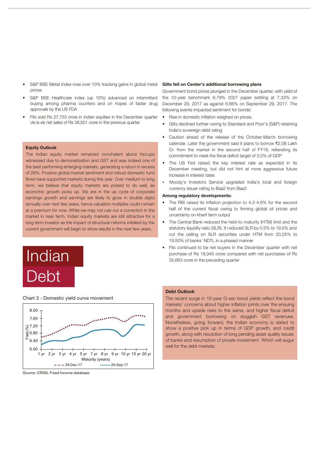- prices S&P BSE Metal Index rose over 10% tracking gains in global metal
- S&P BSE Healthcare index (up 10%) advanced on intermittent buying among pharma counters and on hopes of faster drug approvals by the US FDA
- FIIs sold Rs 27,753 crore in Indian equities in the December quarter vis-à-vis net sales of Rs 38,501 crore in the previous quarter

#### Equity Outlook

The Indian equity market remained nonchalant about hiccups witnessed due to demonetization and GST and was indeed one of the best performing emerging markets, generating a return in excess of 28%. Positive global market sentiment and robust domestic fund flows have supported markets during this year. Over medium to long term, we believe that equity markets are poised to do well, as economic growth picks up. We are in the up cycle of corporate earnings growth and earnings are likely to grow in double digits annually over next few years, hence valuation multiples could r emain at a premium for now. While we may not rule out a correction in the market in near term, Indian equity markets are still attractive for a long term investor as the impact of structural r eforms initiated by the current government will begin to show results in the next few years.





Chart 3 - Domestic yield curve movement

#### Source: CRISIL Fixed Income database

#### Gilts fell on Center's additional borrowing plans

Government bond prices plunged in the December quarter, with yield of the 10-year benchmark 6.79% 2027 paper settling at 7.33% on December 29, 2017 as against 6.66% on September 29, 2017. The following events impacted sentiment for bonds:

- Rise in domestic inflation weighed on prices.
- Gilts declined further owing to Standard and Poor's (S&P) retaining India's sovereign debt rating
- Caution ahead of the release of the October-March borrowing calendar. Later the government said it plans to borrow ₹2.08 Lakh Cr. from the market in the second half of FY18, reiterating its commitment to meet the fiscal deficit target of 3.2% of GDP
- The US Fed raised the key interest rate as expected in its December meeting, but did not hint at more aggressive future
- ?increase in interest rates Moody's Investors Service upgraded India's local and foreign currency issuer rating to Baa2 from Baa3

#### Among regulatory developments:

- The RBI raised its inflation projection to 4.2-4.6% for the second half of the current fiscal owing to firming global oil prices and uncertainty on kharif farm output
- The Central Bank reduced the held-to-maturity (HTM) limit and the statutory liquidity ratio (SLR). It r educed SLR by 0.5% to 19.5% and cut the ceiling on SLR securities under HTM from 20.25% to 19.50% of banks' NDTL in a phased manner
- FIIs continued to be net buyers in the December quarter with net purchase of Rs 18,945 crore compared with net purchases of Rs Indian 35,663 crore in the preceding quarter

#### Debt Outlook

The recent surge in 10-year G-sec bond yields reflect the bond markets' concerns about higher inflation prints over the ensuing months and upside risks to the same, and higher fiscal deficit and government borrowing on sluggish GST revenues. Nonetheless, going forward, the Indian economy is slated to show a positive pick up in terms of GDP growth, and credit growth, along with resolution of long pending asset quality issues of banks and resumption of private investment. Which will augur well for the debt markets.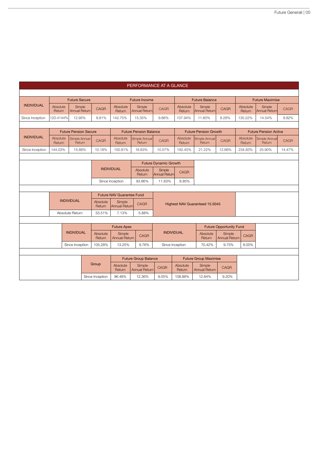|                   | PERFORMANCE AT A GLANCE |                              |                                |                             |                                  |                                |                              |                    |                                |                                |                        |                                |             |
|-------------------|-------------------------|------------------------------|--------------------------------|-----------------------------|----------------------------------|--------------------------------|------------------------------|--------------------|--------------------------------|--------------------------------|------------------------|--------------------------------|-------------|
|                   |                         |                              |                                |                             |                                  |                                |                              |                    |                                |                                |                        |                                |             |
|                   |                         | <b>Future Secure</b>         |                                |                             |                                  | <b>Future Income</b>           |                              |                    | <b>Future Balance</b>          |                                | <b>Future Maximise</b> |                                |             |
| <b>INDIVIDUAL</b> | Absolute<br>Return      |                              | Simple<br><b>Annual Return</b> | <b>CAGR</b>                 | Absolute<br>Return               | Simple<br><b>Annual Return</b> | <b>CAGR</b>                  | Absolute<br>Return | Simple<br>Annual Return        | CAGR                           | Absolute<br>Return     | Simple<br><b>Annual Return</b> | <b>CAGR</b> |
| Since Inception   | 120.4144%               |                              | 12.95%                         | 8.81%                       | 142.75%                          | 15.35%                         | 9.86%                        | 107.94%            | 11.60%                         | 8.28%                          | 135.22%                | 14.54%                         | 9.82%       |
|                   |                         |                              |                                |                             |                                  |                                |                              |                    |                                |                                |                        |                                |             |
|                   |                         | <b>Future Pension Secure</b> |                                |                             |                                  | <b>Future Pension Balance</b>  |                              |                    | <b>Future Pension Growth</b>   |                                |                        | <b>Future Pension Active</b>   |             |
| <b>INDIVIDUAL</b> | Absolute<br>Return      |                              | Simple Annual<br>Return        | CAGR                        | Absolute<br>Return               | Simple Annual<br>Return        | <b>CAGR</b>                  | Absolute<br>Return | Simple Annual<br>Return        | CAGR                           | Absolute<br>Return     | <b>Simple Annual</b><br>Return | <b>CAGR</b> |
| Since Inception   | 144.03%                 |                              | 15.88%                         | 10.18%                      | 150.81%                          | 16.63%                         | 10.57%                       | 192.45%            | 21.22%                         | 12.66%                         | 234.83%                | 25.90%                         | 14.47%      |
|                   |                         |                              |                                |                             |                                  |                                |                              |                    |                                |                                |                        |                                |             |
|                   |                         |                              |                                |                             |                                  |                                | <b>Future Dynamic Growth</b> |                    |                                |                                |                        |                                |             |
|                   |                         |                              |                                |                             | <b>INDIVIDUAL</b>                | Absolute<br>Return             | Simple<br>Annual Return      | <b>CAGR</b>        |                                |                                |                        |                                |             |
|                   |                         |                              |                                |                             | Since Inception                  | 93.86%                         | 11.63%                       | 8.85%              |                                |                                |                        |                                |             |
|                   |                         |                              |                                |                             |                                  |                                |                              |                    |                                |                                |                        |                                |             |
|                   |                         |                              |                                |                             | <b>Future NAV Guarantee Fund</b> |                                |                              |                    |                                |                                |                        |                                |             |
|                   |                         | <b>INDIVIDUAL</b>            |                                | Absolute<br>Return          | Simple<br>Annual Return          | CAGR                           |                              |                    | Highest NAV Guaranteed 15.5045 |                                |                        |                                |             |
|                   |                         | Absolute Return              |                                | 53.51%                      | 7.13%                            | 5.88%                          |                              |                    |                                |                                |                        |                                |             |
|                   |                         |                              |                                |                             |                                  |                                |                              |                    |                                |                                |                        |                                |             |
|                   |                         |                              |                                |                             | <b>Future Apex</b>               |                                |                              |                    |                                | <b>Future Opportunity Fund</b> |                        |                                |             |
|                   |                         | <b>INDIVIDUAL</b>            |                                | Absolute<br>Return          | Simple<br><b>Annual Return</b>   | CAGR                           | <b>INDIVIDUAL</b>            |                    | Absolute<br>Return             | Simple<br><b>Annual Return</b> | <b>CAGR</b>            |                                |             |
|                   |                         | Since Inception              |                                | 105.28%                     | 13.25%                           | 9.76%                          |                              | Since Inception    | 70.42%                         | 9.75%                          | 8.00%                  |                                |             |
|                   |                         |                              |                                |                             |                                  |                                |                              |                    |                                |                                |                        |                                |             |
|                   |                         |                              |                                | <b>Future Group Balance</b> |                                  |                                | <b>Future Group Maximise</b> |                    |                                |                                |                        |                                |             |
|                   |                         |                              |                                | Group                       | Absolute<br>Return               | Simple<br><b>Annual Return</b> | <b>CAGR</b>                  | Absolute<br>Return | Simple<br><b>Annual Return</b> | <b>CAGR</b>                    |                        |                                |             |
|                   |                         |                              |                                | Since Inception             | 96.48%                           | 12.36%                         | 9.05%                        | 108.88%            | 12.84%                         | 9.20%                          |                        |                                |             |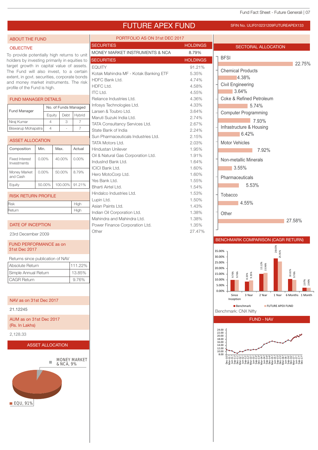## FUTURE APEX FUND SFIN NO. ULIF010231209FUTUREAPEX133

PORT<sub>1</sub>

ABOUT THE FUND

#### **OBJECTIVE**

To provide potentially high returns to unit holders by investing primarily in equities to target growth in capital value of assets. The Fund will also invest, to a certain extent, in govt. securities, corporate bonds and money market instruments. The risk profile of the Fund is high.

#### FUND MANAGER DETAILS Equity Debt Hybrid Nirai Kumar 4 3 7 Fund Manager No. of Funds Managed

 $\vert$  Biswarup Mohapatra  $\vert$  4  $\vert$  -  $\vert$  7

| <b>ASSET ALLOCATION</b>              |          |         |          | Sun Pharmaceutica<br>TATA Motors Ltd. |
|--------------------------------------|----------|---------|----------|---------------------------------------|
| Composition                          | Min.     | Max.    | Actual   | <b>Hindustan Unilever</b>             |
|                                      | $0.00\%$ | 40.00%  | $0.00\%$ | Oil & Natural Gas C                   |
| <b>Fixed Interest</b><br>Investments |          |         |          | IndusInd Bank Ltd.                    |
|                                      |          |         |          | <b>ICICI Bank Ltd.</b>                |
| Money Market<br>and Cash             | $0.00\%$ | 50.00%  | 8.79%    | Hero MotoCorp Lto                     |
|                                      |          |         |          | Yes Bank Ltd.                         |
| Equity                               | 50.00%   | 100.00% | 91.21%   | Bharti Airtel Ltd.                    |

| <b>RISK RETURN PROFILE</b> |      |
|----------------------------|------|
| <b>Risk</b>                | Hiah |
| Return                     | High |

#### DATE OF INCEPTION

23rd December 2009

#### FUND PERFORMANCE as on 31st Dec 2017

Returns since publication of NAV

| Absolute Return      | 111.22% |
|----------------------|---------|
| Simple Annual Return | 13.85%  |
| <b>CAGR Return</b>   | 9.76%   |

#### NAV as on 31st Dec 2017

21.12245

AUM as on 31st Dec 2017 (Rs. In Lakhs)

2,128.33

#### ASSET ALLOCATION



| PORTFOLIO AS ON 31st DEC 2017         |                 |                                           |
|---------------------------------------|-----------------|-------------------------------------------|
| <b>SECURITIES</b>                     | <b>HOLDINGS</b> | <b>SECTORAL ALLOCATION</b>                |
| MONEY MARKET INSTRUMENTS & NCA        | 8.79%           |                                           |
| <b>SECURITIES</b>                     | <b>HOLDINGS</b> | <b>BFSI</b>                               |
| <b>EQUITY</b>                         | 91.21%          | 22.75%                                    |
| Kotak Mahindra MF - Kotak Banking ETF | 5.35%           | <b>Chemical Products</b>                  |
| <b>HDFC Bank Ltd.</b>                 | 4.74%           | 4.38%                                     |
| HDFC Ltd.                             | 4.58%           | <b>Civil Engineering</b>                  |
| ITC Ltd.                              | 4.55%           | 3.64%                                     |
| Reliance Industries Ltd.              | 4.36%           | Coke & Refined Petroleum                  |
| Infosys Technologies Ltd.             | 4.33%           | 5.74%                                     |
| Larsen & Toubro Ltd.                  | 3.64%           | <b>Computer Programming</b>               |
| Maruti Suzuki India Ltd.              | 2.74%           | 7.93%                                     |
| TATA Consultancy Services Ltd.        | 2.67%           | Infrastructure & Housing                  |
| State Bank of India                   | 2.24%           |                                           |
| Sun Pharmaceuticals Industries Ltd.   | 2.15%           | 6.42%                                     |
| TATA Motors I td.                     | 2.03%           | <b>Motor Vehicles</b>                     |
| Hindustan Unilever                    | 1.95%           | 7.92%                                     |
| Oil & Natural Gas Corporation Ltd.    | 1.91%           |                                           |
| IndusInd Bank Ltd.                    | 1.64%           | Non-metallic Minerals                     |
| <b>ICICI Bank Ltd.</b>                | 1.60%           | 3.55%                                     |
| Hero MotoCorp Ltd.                    | 1.60%           | Pharmaceuticals                           |
| Yes Bank Ltd.                         | 1.55%           |                                           |
| Bharti Airtel Ltd.                    | 1.54%           | 5.53%                                     |
| Hindalco Industries Ltd.              | 1.53%           | Tobacco                                   |
| Lupin Ltd.                            | 1.50%           | 4.55%                                     |
| Asian Paints Ltd.                     | 1.43%           |                                           |
| Indian Oil Corporation Ltd.           | 1.38%           | Other                                     |
| Mahindra and Mahindra Ltd.            | 1.38%           | 27.58%                                    |
| Power Finance Corporation Ltd.        | 1.35%           |                                           |
| Other                                 | 27.47%          |                                           |
|                                       |                 | <b>BENCHMARK COMPARISON (CAGR RETURN)</b> |

## 8.33%

15.96%

28.65%

25.91%

10.61%

9.76%

2.97% 2.90%

15.12%

9.35%

Since Inception 3 Year 2 Year 1 Year 6 Months 1 Month



Benchmark: CNX Nifty

9.76%

0.00% 5.00% 10.00% 15.00% 20.00% 25.00% 30.00% 35.00%

9.76%



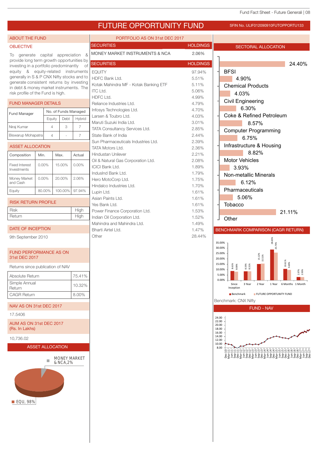## FUTURE OPPORTUNITY FUND SFIN NO. ULIF012090910FUTOPPORTU133

PORTFOLIO AS ON 31st DEC 2017

#### **OBJECTIVE**

ABOUT THE FUND

To generate capital appreciation & provide long term growth opportunities by investing in a portfolio predominantly of equity & equity-related instruments generally in S & P CNX Nifty stocks and to generate consistent returns by investing in debt & money market instruments. The risk profile of the Fund is high.

#### FUND MANAGER DETAILS

| <b>Fund Manager</b> | No. of Funds Managed |      |        |  |  |
|---------------------|----------------------|------|--------|--|--|
|                     | Equity               | Debt | Hybrid |  |  |
| Niraj Kumar         |                      | 3    |        |  |  |
| Biswarup Mohapatra  |                      |      |        |  |  |

| ASSET ALLOCATION |  |  |
|------------------|--|--|
|                  |  |  |

| Composition                   | Min.     | Max.    | Actual |
|-------------------------------|----------|---------|--------|
| Fixed Interest<br>Investments | $0.00\%$ | 15.00%  | 0.00%  |
| Money Market<br>and Cash      | $0.00\%$ | 20.00%  | 2.06%  |
| Equity                        | 80.00%   | 100.00% | 97.94% |

| <b>RISK RETURN PROFILE</b> |      |
|----------------------------|------|
| <b>Risk</b>                | High |
| Return                     | High |

#### DATE OF INCEPTION

9th September 2010

#### FUND PERFORMANCE AS ON 31st DEC 2017

Returns since publication of NAV

| Absolute Return         | 75.41% |
|-------------------------|--------|
| Simple Annual<br>Return | 10.32% |
| <b>CAGR Return</b>      | 8.00%  |

#### NAV AS ON 31st DEC 2017

17.5406

AUM AS ON 31st DEC 2017 (Rs. In Lakhs)

10,736.02



MONEY MARKET  $\mathbb{R}^n$ 



| <b>SECURITIES</b>                     | <b>HOLDINGS</b> |
|---------------------------------------|-----------------|
| MONEY MARKET INSTRUMENTS & NCA        | 2.06%           |
| <b>SECURITIES</b>                     | <b>HOLDINGS</b> |
| <b>EQUITY</b>                         | 97.94%          |
| HDFC Bank Ltd.                        | 5.51%           |
| Kotak Mahindra MF - Kotak Banking ETF | 5.11%           |
| ITC Ltd.                              | 5.06%           |
| HDFC Ltd.                             | 4.99%           |
| Reliance Industries Ltd.              | 4.79%           |
| Infosys Technologies Ltd.             | 4.70%           |
| Larsen & Toubro Ltd.                  | 4.03%           |
| Maruti Suzuki India I td.             | 3.01%           |
| <b>TATA Consultancy Services Ltd.</b> | 2.85%           |
| State Bank of India                   | 2.44%           |
| Sun Pharmaceuticals Industries Ltd.   | 2.39%           |
| <b>TATA Motors Ltd.</b>               | 2.36%           |
| Hindustan Unilever                    | 2.21%           |
| Oil & Natural Gas Corporation Ltd.    | 2.08%           |
| <b>ICICI Bank Ltd.</b>                | 1.89%           |
| IndusInd Bank Ltd.                    | 1.79%           |
| Hero MotoCorp Ltd.                    | 1.75%           |
| Hindalco Industries Ltd.              | 1.70%           |
| Lupin Ltd.                            | 1.61%           |
| Asian Paints Ltd.                     | 1.61%           |
| Yes Bank Ltd.                         | 1.61%           |
| Power Finance Corporation Ltd.        | 1.53%           |
| Indian Oil Corporation Ltd.           | 1.52%           |
| Mahindra and Mahindra Ltd.            | 1.49%           |
| Bharti Airtel Ltd.                    | 1.47%           |
| Other                                 | 28.44%          |

|        | SECTORAL ALLOCATION                                                 |                     |  |  |  |  |  |  |  |
|--------|---------------------------------------------------------------------|---------------------|--|--|--|--|--|--|--|
|        |                                                                     |                     |  |  |  |  |  |  |  |
|        |                                                                     | 24.40%              |  |  |  |  |  |  |  |
|        | <b>BFSI</b>                                                         |                     |  |  |  |  |  |  |  |
|        | 4.90%                                                               |                     |  |  |  |  |  |  |  |
|        | <b>Chemical Products</b>                                            |                     |  |  |  |  |  |  |  |
|        | 4.03%<br>Civil Engineering                                          |                     |  |  |  |  |  |  |  |
|        | 6.30%                                                               |                     |  |  |  |  |  |  |  |
|        | <b>Coke &amp; Refined Petroleum</b>                                 |                     |  |  |  |  |  |  |  |
|        | 8.57%                                                               |                     |  |  |  |  |  |  |  |
|        | <b>Computer Programming</b>                                         |                     |  |  |  |  |  |  |  |
|        | 6.75%                                                               |                     |  |  |  |  |  |  |  |
|        | Infrastructure & Housing<br>8.82%                                   |                     |  |  |  |  |  |  |  |
|        | <b>Motor Vehicles</b>                                               |                     |  |  |  |  |  |  |  |
|        | 3.93%                                                               |                     |  |  |  |  |  |  |  |
|        | Non-metallic Minerals                                               |                     |  |  |  |  |  |  |  |
|        | 6.12%                                                               |                     |  |  |  |  |  |  |  |
|        | Pharmaceuticals                                                     |                     |  |  |  |  |  |  |  |
|        | 5.06%<br>Tobacco                                                    |                     |  |  |  |  |  |  |  |
|        |                                                                     | 21.11%              |  |  |  |  |  |  |  |
|        | Other                                                               |                     |  |  |  |  |  |  |  |
|        | BENCHMARK COMPARISON (CAGR RETURN)                                  |                     |  |  |  |  |  |  |  |
|        |                                                                     |                     |  |  |  |  |  |  |  |
| 35.00% | 28.65%<br>25.73%<br>30.00%                                          |                     |  |  |  |  |  |  |  |
|        | 25.00%<br>15.12%<br>15.51%                                          |                     |  |  |  |  |  |  |  |
|        | 20.00%<br>15.00%<br>8.61%<br>3.00%<br>8.33%<br>3.31%                | 10.61%<br>1,69%     |  |  |  |  |  |  |  |
|        | 10.00%<br>5.00%                                                     | .93%                |  |  |  |  |  |  |  |
|        | 0.00%                                                               |                     |  |  |  |  |  |  |  |
|        | 3 Year<br>2 Year<br>1 Year<br>Since<br>Inception                    | 6 Months<br>1 Month |  |  |  |  |  |  |  |
|        | FUTURE OPPORTUNITY FUND<br><b>Benchmark</b><br>Benchmark: CNX Nifty |                     |  |  |  |  |  |  |  |
|        | <b>FUND - NAV</b>                                                   |                     |  |  |  |  |  |  |  |
|        |                                                                     |                     |  |  |  |  |  |  |  |

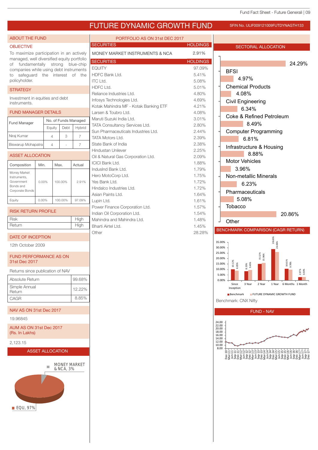

■ EQU, 97%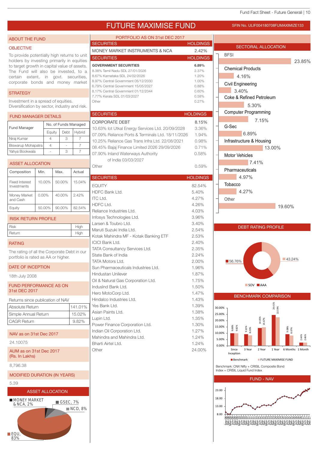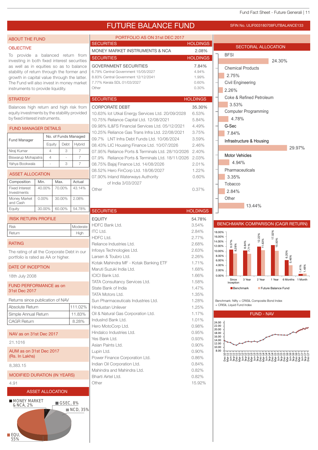

Bharti Airtel Ltd. 6.82% Other 15.92%

- MODIFIED DURATION (IN YEARS)
- 4.91

21.1016

8,383.15

RATING

and Cash

Investments

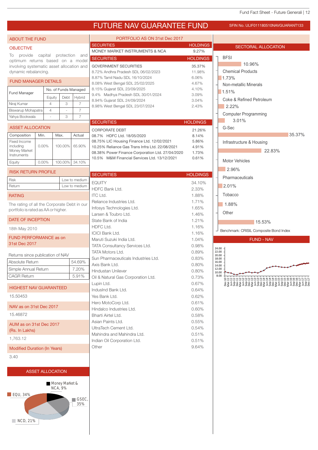## FUTURE NAV GUARANTEE FUND SFIN NO. ULIF011180510NAVGUARANT133

| <b>ABOUT THE FUND</b>                       |                         |                | PORTFOLIO AS ON 31st Dec 2017 |                      |                                                                    |                 |                                        |
|---------------------------------------------|-------------------------|----------------|-------------------------------|----------------------|--------------------------------------------------------------------|-----------------|----------------------------------------|
| <b>OBJECTIVE</b>                            |                         |                |                               |                      | <b>SECURITIES</b>                                                  | <b>HOLDINGS</b> | <b>SECTORAL ALLOCATION</b>             |
| provide capital protection and<br>To        |                         |                |                               |                      | MONEY MARKET INSTRUMENTS & NCA                                     | 9.27%           |                                        |
| optimum returns based on a model            |                         |                |                               |                      | <b>SECURITIES</b>                                                  | <b>HOLDINGS</b> | <b>BFSI</b>                            |
| involving systematic asset allocation and   |                         |                |                               |                      | <b>GOVERNMENT SECURITIES</b>                                       | 35.37%          | 10.96%                                 |
| dynamic rebalancing.                        |                         |                |                               |                      | 8.72% Andhra Pradesh SDL 06/02/2023                                | 11.98%          | <b>Chemical Products</b>               |
| <b>FUND MANAGER DETAILS</b>                 |                         |                |                               |                      | 8.87% Tamil Nadu SDL 16/10/2024                                    | 6.06%           | 1.73%                                  |
|                                             |                         |                |                               |                      | 8.08% West Bengal SDL 25/02/2025                                   | 4.67%           | Non-metallic Minerals                  |
| Fund Manager                                |                         |                |                               | No. of Funds Managed | 8.15% Gujarat SDL 23/09/2025                                       | 4.10%           | 1.51%                                  |
|                                             |                         | Equity         | Debt                          | Hybrid               | 9.4% Madhya Pradesh SDL 30/01/2024<br>8.94% Gujarat SDL 24/09/2024 | 3.09%<br>3.04%  | Coke & Refined Petroleum               |
| Niraj Kumar                                 |                         | $\overline{4}$ | 3                             | $\overline{7}$       | 8.98% West Bengal SDL 23/07/2024                                   | 2.43%           | 2.22%                                  |
| Biswarup Mohapatra                          |                         | $\overline{4}$ |                               | $\overline{7}$       |                                                                    |                 |                                        |
| Yahya Bookwala                              |                         | ÷.             | 3                             | $\overline{7}$       |                                                                    |                 | <b>Computer Programming</b><br>3.01%   |
|                                             |                         |                |                               |                      | <b>SECURITIES</b>                                                  | <b>HOLDINGS</b> |                                        |
| <b>ASSET ALLOCATION</b>                     |                         |                |                               |                      | <b>CORPORATE DEBT</b>                                              | 21.26%          | G-Sec                                  |
| Composition                                 | Min.                    | Max.           |                               | Actual               | 08.7% HDFC Ltd. 18/05/2020                                         | 8.14%           | 35.37%                                 |
| Fixed Income                                |                         |                |                               |                      | 08.75% LIC Housing Finance Ltd. 12/02/2021                         | 5.86%           | Infrastructure & Housing               |
| including<br>Money Market                   | $0.00\%$                |                | 100.00%                       | 65.90%               | 10.25% Reliance Gas Trans Infra Ltd. 22/08/2021                    | 4.91%           | 22.83%                                 |
| Instruments                                 |                         |                |                               |                      | 08.38% Power Finance Corporation Ltd. 27/04/2020                   | 1.73%           |                                        |
| Equity                                      | $0.00\%$                |                |                               | 100.00% 34.10%       | 10.5% M&M Financial Services Ltd. 13/12/2021                       | 0.61%           | <b>Motor Vehicles</b>                  |
|                                             |                         |                |                               |                      |                                                                    |                 | 2.96%                                  |
| <b>RISK RETURN PROFILE</b>                  |                         |                |                               |                      | <b>SECURITIES</b>                                                  | <b>HOLDINGS</b> |                                        |
| <b>Risk</b>                                 |                         |                |                               | Low to medium        | <b>EQUITY</b>                                                      | 34.10%          | Pharmaceuticals                        |
| Return<br>Low to medium                     |                         |                |                               |                      | HDFC Bank Ltd.                                                     | 2.33%           | 2.01%                                  |
| <b>RATING</b>                               |                         |                |                               |                      | <b>ITC Ltd.</b>                                                    | 1.88%           | Tobacco                                |
|                                             |                         |                |                               |                      | Reliance Industries Ltd.                                           | 1.71%           |                                        |
| The rating of all the Corporate Debt in our |                         |                |                               |                      | Infosys Technologies Ltd.                                          | 1.65%           | 1.88%                                  |
| portfolio is rated as AA or higher.         |                         |                |                               |                      | Larsen & Toubro Ltd.                                               | 1.46%           | Other                                  |
| DATE OF INCEPTION                           |                         |                |                               |                      | State Bank of India                                                | 1.21%           |                                        |
|                                             |                         |                |                               |                      | HDFC Ltd.                                                          | 1.16%           | 15.53%                                 |
| 18th May 2010                               |                         |                |                               |                      | <b>ICICI Bank Ltd.</b>                                             | 1.16%           | Benchmark: CRISIL Composite Bond Index |
| <b>FUND PERFORMANCE as on</b>               |                         |                |                               |                      | Maruti Suzuki India Ltd.                                           | 1.04%           | <b>FUND - NAV</b>                      |
| 31st Dec 2017                               |                         |                |                               |                      | TATA Consultancy Services Ltd.                                     | 0.98%           |                                        |
|                                             |                         |                |                               |                      | <b>TATA Motors Ltd.</b>                                            | 0.89%           | 24.00<br>22.00                         |
| Returns since publication of NAV            |                         |                |                               |                      | Sun Pharmaceuticals Industries Ltd.                                | 0.83%           | 20.00<br>18.00                         |
| Absolute Return                             |                         |                |                               | 54.69%               | Axis Bank Ltd.                                                     | 0.80%           | 16.00<br>14.00                         |
| Simple Annual Return                        |                         |                |                               | 7.20%                | Hindustan Unilever                                                 | 0.80%           | 12.00<br>10.00                         |
| <b>CAGR Return</b>                          |                         |                |                               | 5.91%                | Oil & Natural Gas Corporation Ltd.                                 | 0.73%           | 8.00<br>8¤¤¤¤¤¤¤¤¤¤¤¤¤¤¤¤¤¤¤¤¤¤#       |
|                                             |                         |                |                               |                      | Lupin Ltd.                                                         | 0.67%           |                                        |
| <b>HIGHEST NAV GUARANTEED</b>               |                         |                |                               |                      | IndusInd Bank Ltd.                                                 | 0.64%           |                                        |
| 15.50453                                    |                         |                |                               |                      | Yes Bank Ltd.                                                      | 0.62%           |                                        |
|                                             |                         |                |                               |                      | Hero MotoCorp Ltd.                                                 | 0.61%           |                                        |
| NAV as on 31st Dec 2017                     |                         |                |                               |                      | Hindalco Industries Ltd.                                           | 0.60%           |                                        |
| 15.46872                                    |                         |                |                               |                      | Bharti Airtel Ltd.                                                 | 0.58%           |                                        |
|                                             |                         |                |                               |                      | Asian Paints Ltd.                                                  | 0.55%           |                                        |
| AUM as on 31st Dec 2017                     |                         |                | UltraTech Cement Ltd.         | 0.54%                |                                                                    |                 |                                        |
| (Rs. In Lakhs)                              |                         |                | Mahindra and Mahindra Ltd.    | 0.51%                |                                                                    |                 |                                        |
| 1,763.12                                    |                         |                | Indian Oil Corporation Ltd.   | 0.51%                |                                                                    |                 |                                        |
| <b>Modified Duration (In Years)</b>         |                         |                |                               |                      | Other                                                              | 9.64%           |                                        |
|                                             |                         |                |                               |                      |                                                                    |                 |                                        |
| 3.40                                        |                         |                |                               |                      |                                                                    |                 |                                        |
|                                             |                         |                |                               |                      |                                                                    |                 |                                        |
|                                             | <b>ASSET ALLOCATION</b> |                |                               |                      |                                                                    |                 |                                        |
|                                             |                         |                |                               |                      |                                                                    |                 |                                        |
|                                             |                         |                | Money Market &                |                      |                                                                    |                 |                                        |

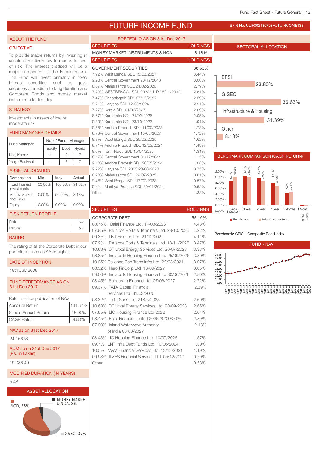## FUTURE INCOME FUND SFIN NO. ULIF002180708FUTUINCOME133

#### ABOUT THE FUND

#### **OBJECTIVE**

To provide stable returns by investing in assets of relatively low to moderate level of risk. The interest credited will be a major component of the Fund's return. The Fund will invest primarily in fixed interest securities, such as govt. securities of medium to long duration and Corporate Bonds and money market instruments for liquidity.

#### **STRATEGY**

Investments in assets of low or moderate risk.

### FUND MANAGER DETAILS

| <b>Fund Manager</b> | No. of Funds Managed |      |        |  |
|---------------------|----------------------|------|--------|--|
|                     | Eauity               | Debt | Hybrid |  |
| Niraj Kumar         |                      | З    |        |  |
| Yahya Bookwala      |                      | З    |        |  |

#### ASSET ALLOCATION

| Composition                          | Min.     | Max.     | Actual   |  |  |  |
|--------------------------------------|----------|----------|----------|--|--|--|
| <b>Fixed Interest</b><br>Investments | 50.00%   | 100.00%  | 91.82%   |  |  |  |
| Money Market<br>and Cash             | $0.00\%$ | 50.00%   | 8.18%    |  |  |  |
| Equity                               | 0.00%    | $0.00\%$ | $0.00\%$ |  |  |  |
| <b>RISK RETURN PROFILE</b>           |          |          |          |  |  |  |

## Return Low

#### RATING

The rating of all the Corporate Debt in our portfolio is rated as AA or higher.

#### DATE OF INCEPTION

18th July 2008

#### FUND PERFORMANCE AS ON 31st Dec 2017

| Returns since publication of NAV          |         |
|-------------------------------------------|---------|
| Absolute Return                           | 141.67% |
| Simple Annual Return                      | 15.09%  |
| <b>CAGR Return</b>                        | 9.86%   |
| NAV as on 31st Dec 2017                   |         |
| 24.16673                                  |         |
| AUM as on 31st Dec 2017<br>(Rs. In Lakhs) |         |
| 19.036.49                                 |         |
| <b>MODIFIED DURATION (IN YEARS)</b>       |         |

5.48

Ħ





| PORTFOLIO AS ON 31st Dec 2017             |                 |
|-------------------------------------------|-----------------|
| <b>SECURITIES</b>                         | <b>HOLDINGS</b> |
| MONEY MARKET INSTRUMENTS & NCA            | 8.18%           |
| <b>SECURITIES</b>                         | <b>HOLDINGS</b> |
| <b>GOVERNMENT SECURITIES</b>              | 36.63%          |
| 7.92% West Bengal SDL 15/03/2027          | 3.44%           |
| 9.23% Central Government 23/12/2043       | 3.06%           |
| 8.67% Maharashtra SDL 24/02/2026          | 2.79%           |
| 7.73% WESTBENGAL SDL 2032 ULIP 08/11/2032 | 2.61%           |
| 7.47% Chhattisgarh SDL 27/09/2027         | 2.59%           |
| 9.71% Haryana SDL 12/03/2024              | 2.21%           |
| 7.77% Kerala SDL 01/03/2027               | 2.09%           |
| 8.67% Karnataka SDL 24/02/2026            | 2.05%           |
| 9.39% Karnataka SDL 23/10/2023            | 1.91%           |
| 9.55% Andhra Pradesh SDL 11/09/2023       | 1.73%           |
| 6.79% Central Government 15/05/2027       | 1.72%           |
| 8.8% West Bengal SDL 25/02/2025           | 1.62%           |
| 9.71% Andhra Pradesh SDL 12/03/2024       | 1.49%           |
| 8.6% Tamil Nadu SDL 15/04/2025            | 1.31%           |
| 8.17% Central Government 01/12/2044       | 1.15%           |
| 9.18% Andhra Pradesh SDL 28/05/2024       | 1.08%           |
| 9.72% Haryana SDL 2023 28/08/2023         | 0.75%           |
| 8.28% Maharashtra SDL 29/07/2025          | 0.61%           |
| 9.48% West Bengal SDL 17/07/2023          | 0.57%           |
| 9.4% Madhya Pradesh SDL 30/01/2024        | 0.52%           |

| <b>SECURITIES</b>                                 | <b>HOLDINGS</b> |
|---------------------------------------------------|-----------------|
| <b>CORPORATE DEBT</b>                             | 55.19%          |
| 08.75% Bajaj Finance Ltd. 14/08/2026              | 4.48%           |
| 07.95% Reliance Ports & Terminals Ltd. 28/10/2026 | 4.22%           |
| 09.8% LNT Finance Ltd. 21/12/2022                 | 4.11%           |
| 07.9% Reliance Ports & Terminals Ltd. 18/11/2026  | 3.47%           |
| 10.63% IOT Utkal Energy Services Ltd. 20/07/2028  | 3.33%           |
| 08.85% Indiabulls Housing Finance Ltd. 25/09/2026 | 3.30%           |
| 10.25% Reliance Gas Trans Infra Ltd. 22/08/2021   | 3.07%           |
| 08.52% Hero FinCorp Ltd. 18/06/2027               | 3.05%           |
| 09.00% Indiabulls Housing Finance Ltd. 30/06/2026 | 2.80%           |
| 08.45% Sundaram Finance Ltd. 07/06/2027           | 2.72%           |
| 09.37% TATA Capital Financial                     | 2.69%           |
| Services Ltd. 31/03/2025                          |                 |
| 08.32% Tata Sons Ltd. 21/05/2023                  | 2.69%           |
| 10.63% IOT Utkal Energy Services Ltd. 20/09/2028  | 2.65%           |
| 07.85% LIC Housing Finance Ltd 2022               | 2.64%           |
| 08.45% Bajaj Finance Limited 2026 29/09/2026      | 2.39%           |
| 07.90% Inland Waterways Authority                 | 2.13%           |
| of India 03/03/2027                               |                 |
| 08.43% LIC Housing Finance Ltd. 10/07/2026        | 1.57%           |
| 09.7% LNT Infra Debt Funds Ltd. 10/06/2024        | 1.30%           |
| 10.5% M&M Financial Services Ltd. 13/12/2021      | 1.19%           |
| 09.98% IL&FS Financial Services Ltd. 05/12/2021   | 0.79%           |
| Other                                             | 0.58%           |

Other 1.33%

## **LDINGS** SECTORAL ALLOCATION BFSI G-SEC Infrastructure & Housing 23.80% 36.63% 31.39% **Other** 8.18% BENCHMARK COMPARISON (CAGR RETURN)



Benchmark: CRISIL Composite Bond Index

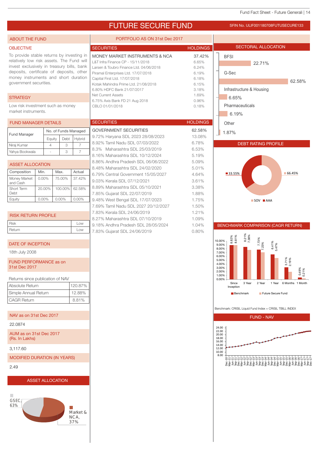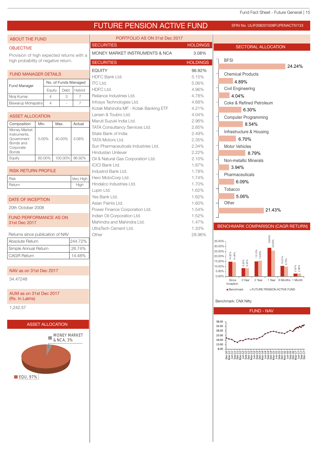## FUTURE PENSION ACTIVE FUND SFIN NO. ULIF008201008FUPENACTIV133

| <b>ABOUT THE FUND</b>                     |                |                                  |                | PORTFOLIO AS ON 31st Dec 2017                    |                 |                                                                                 |  |
|-------------------------------------------|----------------|----------------------------------|----------------|--------------------------------------------------|-----------------|---------------------------------------------------------------------------------|--|
| <b>OBJECTIVE</b>                          |                |                                  |                | <b>SECURITIES</b>                                | <b>HOLDINGS</b> | SECTORAL ALLOCATION                                                             |  |
| Provision of high expected returns with a |                |                                  |                | MONEY MARKET INSTRUMENTS & NCA                   | 3.08%           |                                                                                 |  |
| high probability of negative return.      |                |                                  |                | <b>SECURITIES</b>                                | <b>HOLDINGS</b> | <b>BFSI</b>                                                                     |  |
|                                           |                |                                  |                | <b>EQUITY</b>                                    | 96.92%          | 24.24%                                                                          |  |
| <b>FUND MANAGER DETAILS</b>               |                |                                  |                | HDFC Bank Ltd.                                   | 5.15%           | <b>Chemical Products</b>                                                        |  |
| Fund Manager                              |                | No. of Funds Managed             |                | <b>ITC Ltd.</b>                                  | 5.06%           | 4.89%                                                                           |  |
|                                           |                | Equity<br>Debt                   | Hybrid         | HDFC Ltd.                                        | 4.96%           | <b>Civil Engineering</b>                                                        |  |
| Niraj Kumar                               | $\overline{4}$ | 3                                | $\overline{7}$ | Reliance Industries Ltd.                         | 4.78%           | 4.04%                                                                           |  |
| Biswarup Mohapatra                        | $\overline{4}$ | $\sim$                           | $\overline{7}$ | Infosys Technologies Ltd.                        | 4.68%           | Coke & Refined Petroleum                                                        |  |
|                                           |                |                                  |                | Kotak Mahindra MF - Kotak Banking ETF            | 4.21%           | 6.30%                                                                           |  |
| <b>ASSET ALLOCATION</b>                   |                |                                  |                | Larsen & Toubro Ltd.<br>Maruti Suzuki India Ltd. | 4.04%<br>2.96%  | <b>Computer Programming</b>                                                     |  |
| Composition                               | Min.           | Max.                             | Actual         | TATA Consultancy Services Ltd.                   | 2.85%           | 8.54%                                                                           |  |
| Money Market<br>Instruments,              |                |                                  |                | State Bank of India                              | 2.49%           | Infrastructure & Housing                                                        |  |
| Government                                | $0.00\%$       | 40.00%                           | 3.08%          | <b>TATA Motors Ltd.</b>                          | 2.35%           | 6.70%                                                                           |  |
| Bonds and<br>Corporate                    |                |                                  |                | Sun Pharmaceuticals Industries Ltd.              | 2.34%           | Motor Vehicles                                                                  |  |
| <b>Bonds</b>                              |                |                                  |                | Hindustan Unilever                               | 2.22%           | 8.79%                                                                           |  |
| Equity                                    | 60.00%         | 100.00%                          | 96.92%         | Oil & Natural Gas Corporation Ltd.               | 2.10%           | Non-metallic Minerals                                                           |  |
|                                           |                |                                  |                | <b>ICICI Bank Ltd.</b>                           | 1.87%           | 3.94%                                                                           |  |
| <b>RISK RETURN PROFILE</b>                |                |                                  |                | IndusInd Bank Ltd.                               | 1.78%           | Pharmaceuticals                                                                 |  |
| <b>Risk</b>                               |                |                                  | Very High      | Hero MotoCorp Ltd.                               | 1.74%           | 6.09%                                                                           |  |
| Return                                    |                |                                  | High           | Hindalco Industries Ltd.<br>Lupin Ltd.           | 1.70%<br>1.62%  | Tobacco                                                                         |  |
|                                           |                |                                  |                | Yes Bank Ltd.                                    | 1.62%           | 5.06%                                                                           |  |
| <b>DATE OF INCEPTION</b>                  |                |                                  |                | Asian Paints Ltd.                                | 1.60%           | Other                                                                           |  |
| 20th October 2008                         |                |                                  |                | Power Finance Corporation Ltd.                   | 1.54%           | 21.43%                                                                          |  |
| <b>FUND PERFORMANCE AS ON</b>             |                |                                  |                | Indian Oil Corporation Ltd.                      | 1.52%           |                                                                                 |  |
| 31st Dec 2017                             |                |                                  |                | Mahindra and Mahindra Ltd.                       | 1.47%           |                                                                                 |  |
|                                           |                |                                  |                | UltraTech Cement Ltd.                            | 1.33%           | BENCHMARK COMPARISON (CAGR RETURN)                                              |  |
| Returns since publication of NAV          |                |                                  |                | Other                                            | 28.96%          |                                                                                 |  |
| Absolute Return                           |                |                                  | 244.72%        |                                                  |                 | 28.65%<br>25.93%<br>35.00%-<br>30.00%                                           |  |
| Simple Annual Return                      |                |                                  | 26.74%         |                                                  |                 | 25.00%<br>15.12%<br>15.85%                                                      |  |
| <b>CAGR Return</b><br>14.48%              |                |                                  |                |                                                  |                 | 14.82%<br>14.48%<br>$20.00\%$ -<br>$\frac{10.61\%}{9.75\%}$<br>15.00%           |  |
| NAV as on 31st Dec 2017                   |                |                                  |                |                                                  |                 | 8.33%<br>8.32%<br>$10.00\%$ -<br>2.97%<br>2.96%<br>$5.00\%$                     |  |
| 34.47248                                  |                |                                  |                |                                                  |                 | $0.00\%$ -<br>3 Year<br>2 Year<br>1 Year 6 Months 1 Month<br>Since<br>Inception |  |
| AUM as on 31st Dec 2017                   |                |                                  |                |                                                  |                 | FUTURE PENSION ACTIVE FUND<br><b>Benchmark</b>                                  |  |
| (Rs. In Lakhs)                            |                |                                  |                |                                                  |                 | Benchmark: CNX Nifty                                                            |  |
| 1,242.57                                  |                |                                  |                |                                                  |                 | <b>FUND - NAV</b>                                                               |  |
|                                           |                | <b>ASSET ALLOCATION</b>          |                |                                                  |                 | 38.00<br>33.00                                                                  |  |
|                                           |                |                                  |                |                                                  |                 | 28.00                                                                           |  |
|                                           |                | <b>MONEY MARKET</b><br>& NCA, 3% |                |                                                  |                 | 23.00<br>18.00                                                                  |  |
|                                           |                |                                  |                |                                                  |                 | 13.00                                                                           |  |
|                                           |                |                                  |                |                                                  |                 | 8.00                                                                            |  |
|                                           |                |                                  |                |                                                  |                 |                                                                                 |  |
|                                           |                |                                  |                |                                                  |                 |                                                                                 |  |
|                                           |                |                                  |                |                                                  |                 |                                                                                 |  |
|                                           | EQU, 97%       |                                  |                |                                                  |                 |                                                                                 |  |
|                                           |                |                                  |                |                                                  |                 |                                                                                 |  |
|                                           |                |                                  |                |                                                  |                 |                                                                                 |  |
|                                           |                |                                  |                |                                                  |                 |                                                                                 |  |
|                                           |                |                                  |                |                                                  |                 |                                                                                 |  |
|                                           |                |                                  |                |                                                  |                 |                                                                                 |  |
|                                           |                |                                  |                |                                                  |                 |                                                                                 |  |
|                                           |                |                                  |                |                                                  |                 |                                                                                 |  |
|                                           |                |                                  |                |                                                  |                 |                                                                                 |  |
|                                           |                |                                  |                |                                                  |                 |                                                                                 |  |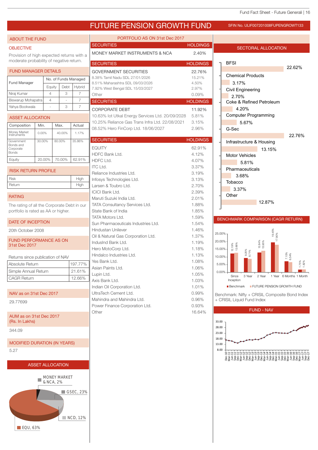## FUTURE PENSION GROWTH FUND SFIN NO. ULIF007201008FUPENGROWT133

#### **OBJECTIVE**

ABOUT THE FUND

Provision of high expected returns with a moderate probability of negative return.

#### FUND MANAGER DETAILS

| <b>Fund Manager</b> | No. of Funds Managed |      |        |  |
|---------------------|----------------------|------|--------|--|
|                     | Equity               | Debt | Hybrid |  |
| Niraj Kumar         |                      |      |        |  |
| Biswarup Mohapatra  |                      |      |        |  |
| Yahya Bookwala      |                      |      |        |  |

| <b>ASSET ALLOCATION</b>                              |        |        |        |  |  |  |  |  |
|------------------------------------------------------|--------|--------|--------|--|--|--|--|--|
| Composition                                          | Min.   | Max.   | Actual |  |  |  |  |  |
| Money Market<br>Instruments                          | 0.00%  | 40.00% | 1.17%  |  |  |  |  |  |
| Government<br>Bonds and<br>Corporate<br><b>Bonds</b> | 30.00% | 80.00% | 35.86% |  |  |  |  |  |
| Equity                                               | 20.00% | 70.00% | 62.91% |  |  |  |  |  |

| <b>RISK RETURN PROFILE</b> |      |
|----------------------------|------|
| <b>Risk</b>                | High |
| Return                     | High |

#### RATING

The rating of all the Corporate Debt in our portfolio is rated as AA or higher.

#### DATE OF INCEPTION

20th October 2008

#### FUND PERFORMANCE AS ON 31st Dec 2017

| Returns since publication of NAV |         |  |
|----------------------------------|---------|--|
| Absolute Return                  | 197.77% |  |
| Simple Annual Return             | 21.61%  |  |
| <b>CAGR Return</b>               | 12.66%  |  |

NAV as on 31st Dec 2017

29.77699

#### AUM as on 31st Dec 2017 (Rs. In Lakhs)

344.09

#### MODIFIED DURATION (IN YEARS)

5.27





| <b>SECURITIES</b><br>MONEY MARKET INSTRUMENTS & NCA<br><b>SECURITIES</b>                                                                                                                                                                                                                                                                                                                                                                                                                                                                                                                                                                                                                 | <b>HOLDINGS</b>                                                                                                                                                                                                                         |
|------------------------------------------------------------------------------------------------------------------------------------------------------------------------------------------------------------------------------------------------------------------------------------------------------------------------------------------------------------------------------------------------------------------------------------------------------------------------------------------------------------------------------------------------------------------------------------------------------------------------------------------------------------------------------------------|-----------------------------------------------------------------------------------------------------------------------------------------------------------------------------------------------------------------------------------------|
|                                                                                                                                                                                                                                                                                                                                                                                                                                                                                                                                                                                                                                                                                          |                                                                                                                                                                                                                                         |
|                                                                                                                                                                                                                                                                                                                                                                                                                                                                                                                                                                                                                                                                                          | 2.40%                                                                                                                                                                                                                                   |
|                                                                                                                                                                                                                                                                                                                                                                                                                                                                                                                                                                                                                                                                                          | <b>HOLDINGS</b>                                                                                                                                                                                                                         |
| <b>GOVERNMENT SECURITIES</b><br>8.38% Tamil Nadu SDL 27/01/2026<br>8.51% Maharashtra SDL 09/03/2026<br>7.92% West Bengal SDL 15/03/2027<br>Other                                                                                                                                                                                                                                                                                                                                                                                                                                                                                                                                         | 22.76%<br>15.21%<br>4.50%<br>2.97%<br>0.09%                                                                                                                                                                                             |
| <b>SECURITIES</b>                                                                                                                                                                                                                                                                                                                                                                                                                                                                                                                                                                                                                                                                        | <b>HOLDINGS</b>                                                                                                                                                                                                                         |
| <b>CORPORATE DEBT</b><br>10.63% lot Utkal Energy Services Ltd. 20/09/2028<br>10.25% Reliance Gas Trans Infra Ltd. 22/08/2021<br>08.52% Hero FinCorp Ltd. 18/06/2027                                                                                                                                                                                                                                                                                                                                                                                                                                                                                                                      | 11.92%<br>5.81%<br>3.15%<br>2.96%                                                                                                                                                                                                       |
| <b>SECURITIES</b>                                                                                                                                                                                                                                                                                                                                                                                                                                                                                                                                                                                                                                                                        | <b>HOLDINGS</b>                                                                                                                                                                                                                         |
| <b>EQUITY</b><br><b>HDFC Bank Ltd.</b><br><b>HDFC Ltd.</b><br><b>ITC Ltd.</b><br>Reliance Industries Ltd.<br>Infosys Technologies Ltd.<br>Larsen & Toubro Ltd.<br><b>ICICI Bank Ltd.</b><br>Maruti Suzuki India Ltd.<br>TATA Consultancy Services Ltd.<br>State Bank of India<br><b>TATA Motors Ltd.</b><br>Sun Pharmaceuticals Industries Ltd.<br><b>Hindustan Unilever</b><br>Oil & Natural Gas Corporation Ltd.<br>IndusInd Bank Ltd.<br>Hero MotoCorp Ltd.<br>Hindalco Industries Ltd.<br>Yes Bank Ltd.<br>Asian Paints Ltd.<br>Lupin Ltd.<br>Axis Bank Ltd.<br>Indian Oil Corporation Ltd.<br>UltraTech Cement Ltd.<br>Mahindra and Mahindra Ltd.<br>Power Finance Corporation Ltd. | 62.91%<br>4.12%<br>4.07%<br>3.37%<br>3.19%<br>3.13%<br>2.70%<br>2.39%<br>2.01%<br>1.88%<br>1.85%<br>1.59%<br>1.54%<br>1.46%<br>1.37%<br>1.19%<br>1.18%<br>1.13%<br>1.08%<br>1.06%<br>1.05%<br>1.03%<br>1.01%<br>0.99%<br>0.96%<br>0.93% |



![](_page_15_Figure_26.jpeg)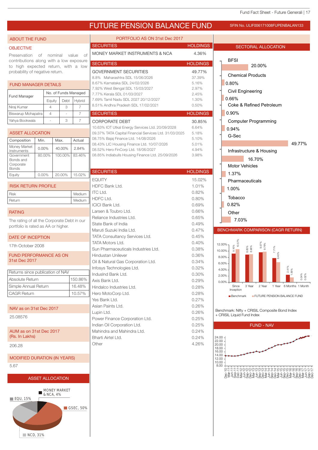## FUTURE PENSION BALANCE FUND SFIN NO. ULIF006171008FUPENBALAN133

#### ABOUT THE FUND

#### **OBJECTIVE**

Preservation of nominal value of contributions along with a low exposure to high expected return, with a low probability of negative return.

### FUND MANAGER DETAILS

| <b>Fund Manager</b> | No. of Funds Managed |                          |        |
|---------------------|----------------------|--------------------------|--------|
|                     | Equity               | Debt                     | Hybrid |
| Niraj Kumar         |                      | 3                        |        |
| Biswarup Mohapatra  |                      | $\overline{\phantom{a}}$ |        |
| Yahya Bookwala      |                      | З                        |        |

| <b>ASSET ALLOCATION</b>                              |          |         |        |
|------------------------------------------------------|----------|---------|--------|
| Composition                                          | Min.     | Max.    | Actual |
| Money Market<br>Instruments                          | $0.00\%$ | 40.00%  | 2.84%  |
| Government<br>Bonds and<br>Corporate<br><b>Bonds</b> | 80.00%   | 100.00% | 83.46% |
| Eauitv                                               | $0.00\%$ | 20.00%  | 15.02% |

#### RISK RETURN PROFILE

| Risk   | Medium |
|--------|--------|
| Return | Medium |

#### RATING

The rating of all the Corporate Debt in our portfolio is rated as AA or higher.

#### DATE OF INCEPTION

17th October 2008

FUND PERFORMANCE AS ON 31st Dec 2017

| Returns since publication of NAV |         |
|----------------------------------|---------|
| Absolute Return                  | 150.86% |
| Simple Annual Return             | 16.48%  |
| <b>CAGR Return</b>               | 10.57%  |

NAV as on 31st Dec 2017

25.08576

AUM as on 31st Dec 2017 (Rs. In Lakhs)

206.28

```
MODIFIED DURATION (IN YEARS)
```
5.67

![](_page_16_Figure_22.jpeg)

![](_page_16_Figure_23.jpeg)

| PORTFOLIO AS ON 31st Dec 2017                                                                                                                                                                                                                                                                                                                                                                                                                                     |                                                                                                                                                                 |
|-------------------------------------------------------------------------------------------------------------------------------------------------------------------------------------------------------------------------------------------------------------------------------------------------------------------------------------------------------------------------------------------------------------------------------------------------------------------|-----------------------------------------------------------------------------------------------------------------------------------------------------------------|
| <b>SECURITIES</b>                                                                                                                                                                                                                                                                                                                                                                                                                                                 | <b>HOLDINGS</b>                                                                                                                                                 |
| MONEY MARKET INSTRUMENTS & NCA                                                                                                                                                                                                                                                                                                                                                                                                                                    | 4.36%                                                                                                                                                           |
| <b>SECURITIES</b>                                                                                                                                                                                                                                                                                                                                                                                                                                                 | <b>HOLDINGS</b>                                                                                                                                                 |
| <b>GOVERNMENT SECURITIES</b><br>8.8% Maharashtra SDL 15/06/2026<br>8.67% Karnataka SDL 24/02/2026<br>7.92% West Bengal SDL 15/03/2027<br>7.77% Kerala SDL 01/03/2027<br>7.69% Tamil Nadu SDL 2027 20/12/2027<br>8.51% Andhra Pradesh SDL 17/02/2021                                                                                                                                                                                                               | 49.77%<br>37.39%<br>5.16%<br>2.97%<br>2.45%<br>1.30%<br>0.50%                                                                                                   |
| <b>SECURITIES</b>                                                                                                                                                                                                                                                                                                                                                                                                                                                 | <b>HOLDINGS</b>                                                                                                                                                 |
| <b>CORPORATE DEBT</b><br>10.63% IOT Utkal Energy Services Ltd. 20/09/2028<br>09.37% TATA Capital Financial Services Ltd. 31/03/2025<br>08.75% Bajaj Finance Ltd. 14/08/2026<br>08.43% LIC Housing Finance Ltd. 10/07/2026<br>08.52% Hero FinCorp Ltd. 18/06/2027<br>08.85% Indiabulls Housing Finance Ltd. 25/09/2026                                                                                                                                             | 30.85%<br>6.64%<br>5.18%<br>5.10%<br>5.01%<br>4.94%<br>3.98%                                                                                                    |
| <b>SECURITIES</b>                                                                                                                                                                                                                                                                                                                                                                                                                                                 | <b>HOLDINGS</b>                                                                                                                                                 |
| <b>EQUITY</b><br>HDFC Bank Ltd.<br><b>ITC Ltd.</b><br><b>HDFC Ltd.</b><br><b>ICICI Bank Ltd.</b><br>Larsen & Toubro Ltd.<br>Reliance Industries Ltd.<br>State Bank of India<br>Maruti Suzuki India Ltd.<br>TATA Consultancy Services Ltd.<br>TATA Motors Ltd.<br>Sun Pharmaceuticals Industries Ltd.<br>Hindustan Unilever<br>Oil & Natural Gas Corporation Ltd.<br>Infosys Technologies Ltd.<br>IndusInd Bank Ltd.<br>Axis Bank Ltd.<br>Hindalco Industries Ltd. | 15.02%<br>1.01%<br>0.82%<br>0.80%<br>0.69%<br>0.66%<br>0.65%<br>0.49%<br>0.47%<br>0.45%<br>0.40%<br>0.38%<br>0.36%<br>0.34%<br>0.32%<br>0.30%<br>0.29%<br>0.28% |
| Hero MotoCorp Ltd.<br>Yes Bank Ltd.<br>Asian Paints Ltd.<br>Lupin Ltd.<br>Power Finance Corporation Ltd.<br>Indian Oil Corporation Ltd.<br>Mahindra and Mahindra Ltd.<br>Bharti Airtel Ltd.<br>Other                                                                                                                                                                                                                                                              | 0.28%<br>0.27%<br>0.26%<br>0.26%<br>0.25%<br>0.25%<br>0.24%<br>0.24%<br>4.26%                                                                                   |

![](_page_16_Figure_25.jpeg)

![](_page_16_Figure_26.jpeg)

Benchmark: Nifty + CRISIL Composite Bond Index + CRISIL Liquid Fund Index

![](_page_16_Figure_28.jpeg)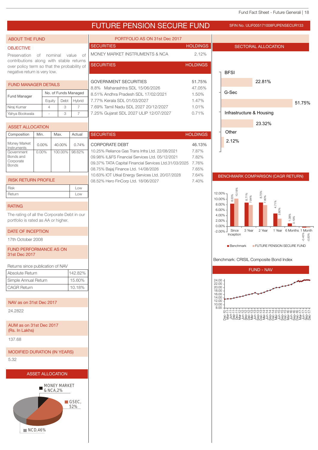## FUTURE PENSION SECURE FUND SFIN NO. ULIF005171008FUPENSECUR133

#### ABOUT THE FUND

#### **OBJECTIVE**

Preservation of nominal value of contributions along with stable returns over policy term so that the probability of negative return is very low.

#### FUND MANAGER DETAILS

| <b>Fund Manager</b> | No. of Funds Managed |      |        |
|---------------------|----------------------|------|--------|
|                     | Equity               | Debt | Hybrid |
| Niraj Kumar         |                      | З    |        |
| Yahya Bookwala      |                      |      |        |

| <b>ASSET ALLOCATION</b>                              |          |         |        |                  |
|------------------------------------------------------|----------|---------|--------|------------------|
| Composition                                          | Min.     | Max.    | Actual | Ś                |
| Money Market<br>Instruments                          | $0.00\%$ | 40.00%  | 0.74%  | $\overline{(\ }$ |
| Government<br>Bonds and<br>Corporate<br><b>Bonds</b> | $0.00\%$ | 100.00% | 98.62% | ſ<br>ſ           |

#### RISK RETURN PROFILE

| <b>Risk</b> | .OW |
|-------------|-----|
| Return      | LOW |

#### RATING

The rating of all the Corporate Debt in our portfolio is rated as AA or higher.

### DATE OF INCEPTION

17th October 2008

FUND PERFORMANCE AS ON 31st Dec 2017

| Returns since publication of NAV |         |
|----------------------------------|---------|
| Absolute Return                  | 142.82% |
| Simple Annual Return             | 15.60%  |
| <b>CAGR Return</b>               | 10.18%  |
|                                  |         |

NAV as on 31st Dec 2017

24.2822

AUM as on 31st Dec 2017 (Rs. In Lakhs)

137.68

MODIFIED DURATION (IN YEARS)

5.32

![](_page_17_Figure_22.jpeg)

![](_page_17_Figure_23.jpeg)

| PORTFOLIO AS ON 31st Dec 2017          |                 |
|----------------------------------------|-----------------|
| <b>SECURITIES</b>                      | <b>HOLDINGS</b> |
| MONEY MARKET INSTRUMENTS & NCA         | 2.12%           |
| <b>SECURITIES</b>                      | <b>HOLDINGS</b> |
|                                        |                 |
| <b>GOVERNMENT SECURITIES</b>           | 51.75%          |
| 8.8% Maharashtra SDL 15/06/2026        | 47.05%          |
| 8.51% Andhra Pradesh SDL 17/02/2021    | 1.50%           |
| 7.77% Kerala SDL 01/03/2027            | 1.47%           |
| 7.69% Tamil Nadu SDL 2027 20/12/2027   | 1.01%           |
| 7.25% Gujarat SDL 2027 ULIP 12/07/2027 | 0.71%           |

| <b>SECURITIES</b>                                     | <b>HOLDINGS</b> |
|-------------------------------------------------------|-----------------|
| <b>CORPORATE DEBT</b>                                 | 46.13%          |
| 10.25% Reliance Gas Trans Infra Ltd. 22/08/2021       | 7.87%           |
| 09.98% IL&FS Financial Services Ltd. 05/12/2021       | 7.82%           |
| 09.37% TATA Capital Financial Services Ltd.31/03/2025 | 7.76%           |
| 08.75% Bajaj Finance Ltd. 14/08/2026                  | 7.65%           |
| 10.63% IOT Utkal Energy Services Ltd. 20/07/2028      | 7.64%           |
| 08.52% Hero FinCorp Ltd. 18/06/2027                   | 7.40%           |

## 22.81% 51.75% 23.32% 2.12% BFSI G-Sec Infrastructure & Housing Other

SECTORAL ALLOCATION

#### BENCHMARK COMPARISON (CAGR RETURN)

![](_page_17_Figure_28.jpeg)

#### Benchmark: CRISIL Composite Bond Index

![](_page_17_Figure_30.jpeg)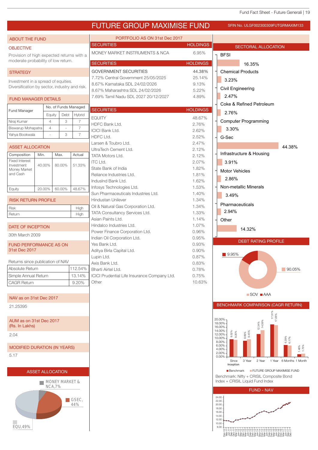## FUTURE GROUP MAXIMISE FUND

| PORTFOLIO AS ON 31st Dec 2017<br><b>ABOUT THE FUND</b><br><b>SECURITIES</b><br><b>HOLDINGS</b><br>SECTORAL ALLOCATION<br>MONEY MARKET INSTRUMENTS & NCA<br>6.95%<br><b>BFSI</b><br>Provision of high expected returns with a<br>moderate probability of low return.<br><b>SECURITIES</b><br><b>HOLDINGS</b><br>16.35%<br>44.38%<br><b>GOVERNMENT SECURITIES</b><br><b>Chemical Products</b><br>25.14%<br>7.72% Central Government 25/05/2025<br>3.23%<br>Investment in a spread of equities.<br>8.67% Karnataka SDL 24/02/2026<br>9.13%<br>Diversification by sector, industry and risk.<br>Civil Engineering<br>8.67% Maharashtra SDL 24/02/2026<br>5.22%<br>2.47%<br>7.69% Tamil Nadu SDL 2027 20/12/2027<br>4.89%<br><b>FUND MANAGER DETAILS</b><br>Coke & Refined Petroleum<br>No. of Funds Managed<br><b>SECURITIES</b><br><b>HOLDINGS</b><br><b>Fund Manager</b><br>2.76%<br>Debt<br>Hybrid<br>Equity<br><b>EQUITY</b><br>48.67%<br>$\overline{7}$<br><b>Computer Programming</b><br>$\overline{4}$<br>3<br>Niraj Kumar<br>2.76%<br>HDFC Bank Ltd.<br>$\overline{7}$<br>Biswarup Mohapatra<br>$\overline{4}$<br>3.30%<br><b>ICICI Bank Ltd.</b><br>2.62%<br>$\overline{7}$<br>3<br>Yahya Bookwala<br>HDFC Ltd.<br>2.52%<br>G-Sec<br>2.47%<br>Larsen & Toubro Ltd.<br>44.38%<br><b>ASSET ALLOCATION</b><br>UltraTech Cement Ltd.<br>2.12%<br>Infrastructure & Housing<br>Composition<br>Min.<br>Max.<br>Actual<br>2.12%<br>TATA Motors Ltd.<br><b>Fixed Interest</b><br><b>ITC Ltd.</b><br>3.91%<br>2.07%<br>51.33%<br>40.00%<br>80.00%<br>State Bank of India<br>1.82%<br>Money Market<br><b>Motor Vehicles</b><br>Reliance Industries Ltd.<br>1.81%<br>2.86%<br>IndusInd Bank Ltd.<br>1.62%<br>Non-metallic Minerals<br>Infosys Technologies Ltd.<br>1.53%<br>60.00%<br>48.67%<br>20.00%<br>Equity<br>Sun Pharmaceuticals Industries Ltd.<br>1.40%<br>3.49%<br><b>RISK RETURN PROFILE</b><br>Hindustan Unilever<br>1.34%<br>Pharmaceuticals<br>Oil & Natural Gas Corporation Ltd.<br>1.34%<br><b>Risk</b><br>High<br>2.94%<br>TATA Consultancy Services Ltd.<br>1.33%<br>High<br>Asian Paints Ltd.<br>1.14%<br>Other<br>1.07%<br>Hindalco Industries Ltd.<br>DATE OF INCEPTION<br>14.32%<br>Power Finance Corporation Ltd.<br>0.96%<br>30th March 2009<br>Indian Oil Corporation Ltd.<br>0.95%<br><b>DEBT RATING PROFILE</b><br>Yes Bank Ltd.<br>0.93%<br><b>FUND PERFORMANCE AS ON</b><br>31st Dec 2017<br>Aditya Birla Capital Ltd.<br>0.90%<br>$\blacksquare$ 9.95%<br>0.87%<br>Lupin Ltd.<br>Returns since publication of NAV<br>0.83%<br>Axis Bank Ltd.<br>112.54%<br>Absolute Return<br>90.05%<br>Bharti Airtel Ltd.<br>0.78%<br>0.75%<br>Simple Annual Return<br>13.14%<br>ICICI Prudential Life Insurance Company Ltd.<br>10.63%<br>Other<br>9.20%<br><b>CAGR Return</b><br>■ SOV ■ AAA<br>NAV as on 31st Dec 2017<br>21.25395<br>$17.51\%$<br>$17.06\%$<br>20.00%<br>AUM as on 31st Dec 2017<br>18.00%<br>(Rs. In Lakhs)<br>16.00%<br>14.00%<br>8.69%<br>9.45%<br>9.52%<br>9.20%<br>12.00%<br>2.04<br>6.39%<br>10.00%<br>6.17%<br>8.00%<br>6.00%<br><b>MODIFIED DURATION (IN YEARS)</b><br>4.00%<br>2.00%<br>0.00%<br>Since<br>3 Year<br>2 Year<br>Inception<br>FUTURE GROUP MAXIMISE FUND<br><b>Benchmark</b><br><b>ASSET ALLOCATION</b><br>Benchmark: Nifty + CRISIL Composite Bond<br>Index + CRISIL Liquid Fund Index<br><b>MONEY MARKET &amp;</b><br><b>NCA,7%</b><br><b>FUND - NAV</b><br>24.00<br>$\blacksquare$ GSEC,<br>22.00<br>44%<br>20.00<br>18.00<br>16.00<br>14.00 |                  |  |  |  | FUTURE GRUUP MAAIMISE FUND | SFIN No. ULGF002300309FUTGRMAXIM133 |
|---------------------------------------------------------------------------------------------------------------------------------------------------------------------------------------------------------------------------------------------------------------------------------------------------------------------------------------------------------------------------------------------------------------------------------------------------------------------------------------------------------------------------------------------------------------------------------------------------------------------------------------------------------------------------------------------------------------------------------------------------------------------------------------------------------------------------------------------------------------------------------------------------------------------------------------------------------------------------------------------------------------------------------------------------------------------------------------------------------------------------------------------------------------------------------------------------------------------------------------------------------------------------------------------------------------------------------------------------------------------------------------------------------------------------------------------------------------------------------------------------------------------------------------------------------------------------------------------------------------------------------------------------------------------------------------------------------------------------------------------------------------------------------------------------------------------------------------------------------------------------------------------------------------------------------------------------------------------------------------------------------------------------------------------------------------------------------------------------------------------------------------------------------------------------------------------------------------------------------------------------------------------------------------------------------------------------------------------------------------------------------------------------------------------------------------------------------------------------------------------------------------------------------------------------------------------------------------------------------------------------------------------------------------------------------------------------------------------------------------------------------------------------------------------------------------------------------------------------------------------------------------------------------------------------------------------------------------------------------------------------------------------------------------------------------------------------------------------------------------------------------------------------------------------------------------------------------------------------------------------------------------------------------------------------------------------------------------------------------------------------------------------------------------------------------------------------------------------------------------------------|------------------|--|--|--|----------------------------|-------------------------------------|
|                                                                                                                                                                                                                                                                                                                                                                                                                                                                                                                                                                                                                                                                                                                                                                                                                                                                                                                                                                                                                                                                                                                                                                                                                                                                                                                                                                                                                                                                                                                                                                                                                                                                                                                                                                                                                                                                                                                                                                                                                                                                                                                                                                                                                                                                                                                                                                                                                                                                                                                                                                                                                                                                                                                                                                                                                                                                                                                                                                                                                                                                                                                                                                                                                                                                                                                                                                                                                                                                                                   |                  |  |  |  |                            |                                     |
|                                                                                                                                                                                                                                                                                                                                                                                                                                                                                                                                                                                                                                                                                                                                                                                                                                                                                                                                                                                                                                                                                                                                                                                                                                                                                                                                                                                                                                                                                                                                                                                                                                                                                                                                                                                                                                                                                                                                                                                                                                                                                                                                                                                                                                                                                                                                                                                                                                                                                                                                                                                                                                                                                                                                                                                                                                                                                                                                                                                                                                                                                                                                                                                                                                                                                                                                                                                                                                                                                                   | <b>OBJECTIVE</b> |  |  |  |                            |                                     |
|                                                                                                                                                                                                                                                                                                                                                                                                                                                                                                                                                                                                                                                                                                                                                                                                                                                                                                                                                                                                                                                                                                                                                                                                                                                                                                                                                                                                                                                                                                                                                                                                                                                                                                                                                                                                                                                                                                                                                                                                                                                                                                                                                                                                                                                                                                                                                                                                                                                                                                                                                                                                                                                                                                                                                                                                                                                                                                                                                                                                                                                                                                                                                                                                                                                                                                                                                                                                                                                                                                   |                  |  |  |  |                            |                                     |
|                                                                                                                                                                                                                                                                                                                                                                                                                                                                                                                                                                                                                                                                                                                                                                                                                                                                                                                                                                                                                                                                                                                                                                                                                                                                                                                                                                                                                                                                                                                                                                                                                                                                                                                                                                                                                                                                                                                                                                                                                                                                                                                                                                                                                                                                                                                                                                                                                                                                                                                                                                                                                                                                                                                                                                                                                                                                                                                                                                                                                                                                                                                                                                                                                                                                                                                                                                                                                                                                                                   |                  |  |  |  |                            |                                     |
|                                                                                                                                                                                                                                                                                                                                                                                                                                                                                                                                                                                                                                                                                                                                                                                                                                                                                                                                                                                                                                                                                                                                                                                                                                                                                                                                                                                                                                                                                                                                                                                                                                                                                                                                                                                                                                                                                                                                                                                                                                                                                                                                                                                                                                                                                                                                                                                                                                                                                                                                                                                                                                                                                                                                                                                                                                                                                                                                                                                                                                                                                                                                                                                                                                                                                                                                                                                                                                                                                                   | <b>STRATEGY</b>  |  |  |  |                            |                                     |
|                                                                                                                                                                                                                                                                                                                                                                                                                                                                                                                                                                                                                                                                                                                                                                                                                                                                                                                                                                                                                                                                                                                                                                                                                                                                                                                                                                                                                                                                                                                                                                                                                                                                                                                                                                                                                                                                                                                                                                                                                                                                                                                                                                                                                                                                                                                                                                                                                                                                                                                                                                                                                                                                                                                                                                                                                                                                                                                                                                                                                                                                                                                                                                                                                                                                                                                                                                                                                                                                                                   |                  |  |  |  |                            |                                     |
|                                                                                                                                                                                                                                                                                                                                                                                                                                                                                                                                                                                                                                                                                                                                                                                                                                                                                                                                                                                                                                                                                                                                                                                                                                                                                                                                                                                                                                                                                                                                                                                                                                                                                                                                                                                                                                                                                                                                                                                                                                                                                                                                                                                                                                                                                                                                                                                                                                                                                                                                                                                                                                                                                                                                                                                                                                                                                                                                                                                                                                                                                                                                                                                                                                                                                                                                                                                                                                                                                                   |                  |  |  |  |                            |                                     |
|                                                                                                                                                                                                                                                                                                                                                                                                                                                                                                                                                                                                                                                                                                                                                                                                                                                                                                                                                                                                                                                                                                                                                                                                                                                                                                                                                                                                                                                                                                                                                                                                                                                                                                                                                                                                                                                                                                                                                                                                                                                                                                                                                                                                                                                                                                                                                                                                                                                                                                                                                                                                                                                                                                                                                                                                                                                                                                                                                                                                                                                                                                                                                                                                                                                                                                                                                                                                                                                                                                   |                  |  |  |  |                            |                                     |
|                                                                                                                                                                                                                                                                                                                                                                                                                                                                                                                                                                                                                                                                                                                                                                                                                                                                                                                                                                                                                                                                                                                                                                                                                                                                                                                                                                                                                                                                                                                                                                                                                                                                                                                                                                                                                                                                                                                                                                                                                                                                                                                                                                                                                                                                                                                                                                                                                                                                                                                                                                                                                                                                                                                                                                                                                                                                                                                                                                                                                                                                                                                                                                                                                                                                                                                                                                                                                                                                                                   |                  |  |  |  |                            |                                     |
|                                                                                                                                                                                                                                                                                                                                                                                                                                                                                                                                                                                                                                                                                                                                                                                                                                                                                                                                                                                                                                                                                                                                                                                                                                                                                                                                                                                                                                                                                                                                                                                                                                                                                                                                                                                                                                                                                                                                                                                                                                                                                                                                                                                                                                                                                                                                                                                                                                                                                                                                                                                                                                                                                                                                                                                                                                                                                                                                                                                                                                                                                                                                                                                                                                                                                                                                                                                                                                                                                                   |                  |  |  |  |                            |                                     |
|                                                                                                                                                                                                                                                                                                                                                                                                                                                                                                                                                                                                                                                                                                                                                                                                                                                                                                                                                                                                                                                                                                                                                                                                                                                                                                                                                                                                                                                                                                                                                                                                                                                                                                                                                                                                                                                                                                                                                                                                                                                                                                                                                                                                                                                                                                                                                                                                                                                                                                                                                                                                                                                                                                                                                                                                                                                                                                                                                                                                                                                                                                                                                                                                                                                                                                                                                                                                                                                                                                   |                  |  |  |  |                            |                                     |
|                                                                                                                                                                                                                                                                                                                                                                                                                                                                                                                                                                                                                                                                                                                                                                                                                                                                                                                                                                                                                                                                                                                                                                                                                                                                                                                                                                                                                                                                                                                                                                                                                                                                                                                                                                                                                                                                                                                                                                                                                                                                                                                                                                                                                                                                                                                                                                                                                                                                                                                                                                                                                                                                                                                                                                                                                                                                                                                                                                                                                                                                                                                                                                                                                                                                                                                                                                                                                                                                                                   |                  |  |  |  |                            |                                     |
|                                                                                                                                                                                                                                                                                                                                                                                                                                                                                                                                                                                                                                                                                                                                                                                                                                                                                                                                                                                                                                                                                                                                                                                                                                                                                                                                                                                                                                                                                                                                                                                                                                                                                                                                                                                                                                                                                                                                                                                                                                                                                                                                                                                                                                                                                                                                                                                                                                                                                                                                                                                                                                                                                                                                                                                                                                                                                                                                                                                                                                                                                                                                                                                                                                                                                                                                                                                                                                                                                                   |                  |  |  |  |                            |                                     |
|                                                                                                                                                                                                                                                                                                                                                                                                                                                                                                                                                                                                                                                                                                                                                                                                                                                                                                                                                                                                                                                                                                                                                                                                                                                                                                                                                                                                                                                                                                                                                                                                                                                                                                                                                                                                                                                                                                                                                                                                                                                                                                                                                                                                                                                                                                                                                                                                                                                                                                                                                                                                                                                                                                                                                                                                                                                                                                                                                                                                                                                                                                                                                                                                                                                                                                                                                                                                                                                                                                   |                  |  |  |  |                            |                                     |
|                                                                                                                                                                                                                                                                                                                                                                                                                                                                                                                                                                                                                                                                                                                                                                                                                                                                                                                                                                                                                                                                                                                                                                                                                                                                                                                                                                                                                                                                                                                                                                                                                                                                                                                                                                                                                                                                                                                                                                                                                                                                                                                                                                                                                                                                                                                                                                                                                                                                                                                                                                                                                                                                                                                                                                                                                                                                                                                                                                                                                                                                                                                                                                                                                                                                                                                                                                                                                                                                                                   |                  |  |  |  |                            |                                     |
|                                                                                                                                                                                                                                                                                                                                                                                                                                                                                                                                                                                                                                                                                                                                                                                                                                                                                                                                                                                                                                                                                                                                                                                                                                                                                                                                                                                                                                                                                                                                                                                                                                                                                                                                                                                                                                                                                                                                                                                                                                                                                                                                                                                                                                                                                                                                                                                                                                                                                                                                                                                                                                                                                                                                                                                                                                                                                                                                                                                                                                                                                                                                                                                                                                                                                                                                                                                                                                                                                                   |                  |  |  |  |                            |                                     |
|                                                                                                                                                                                                                                                                                                                                                                                                                                                                                                                                                                                                                                                                                                                                                                                                                                                                                                                                                                                                                                                                                                                                                                                                                                                                                                                                                                                                                                                                                                                                                                                                                                                                                                                                                                                                                                                                                                                                                                                                                                                                                                                                                                                                                                                                                                                                                                                                                                                                                                                                                                                                                                                                                                                                                                                                                                                                                                                                                                                                                                                                                                                                                                                                                                                                                                                                                                                                                                                                                                   | Investment       |  |  |  |                            |                                     |
|                                                                                                                                                                                                                                                                                                                                                                                                                                                                                                                                                                                                                                                                                                                                                                                                                                                                                                                                                                                                                                                                                                                                                                                                                                                                                                                                                                                                                                                                                                                                                                                                                                                                                                                                                                                                                                                                                                                                                                                                                                                                                                                                                                                                                                                                                                                                                                                                                                                                                                                                                                                                                                                                                                                                                                                                                                                                                                                                                                                                                                                                                                                                                                                                                                                                                                                                                                                                                                                                                                   | and Cash         |  |  |  |                            |                                     |
|                                                                                                                                                                                                                                                                                                                                                                                                                                                                                                                                                                                                                                                                                                                                                                                                                                                                                                                                                                                                                                                                                                                                                                                                                                                                                                                                                                                                                                                                                                                                                                                                                                                                                                                                                                                                                                                                                                                                                                                                                                                                                                                                                                                                                                                                                                                                                                                                                                                                                                                                                                                                                                                                                                                                                                                                                                                                                                                                                                                                                                                                                                                                                                                                                                                                                                                                                                                                                                                                                                   |                  |  |  |  |                            |                                     |
|                                                                                                                                                                                                                                                                                                                                                                                                                                                                                                                                                                                                                                                                                                                                                                                                                                                                                                                                                                                                                                                                                                                                                                                                                                                                                                                                                                                                                                                                                                                                                                                                                                                                                                                                                                                                                                                                                                                                                                                                                                                                                                                                                                                                                                                                                                                                                                                                                                                                                                                                                                                                                                                                                                                                                                                                                                                                                                                                                                                                                                                                                                                                                                                                                                                                                                                                                                                                                                                                                                   |                  |  |  |  |                            |                                     |
|                                                                                                                                                                                                                                                                                                                                                                                                                                                                                                                                                                                                                                                                                                                                                                                                                                                                                                                                                                                                                                                                                                                                                                                                                                                                                                                                                                                                                                                                                                                                                                                                                                                                                                                                                                                                                                                                                                                                                                                                                                                                                                                                                                                                                                                                                                                                                                                                                                                                                                                                                                                                                                                                                                                                                                                                                                                                                                                                                                                                                                                                                                                                                                                                                                                                                                                                                                                                                                                                                                   |                  |  |  |  |                            |                                     |
|                                                                                                                                                                                                                                                                                                                                                                                                                                                                                                                                                                                                                                                                                                                                                                                                                                                                                                                                                                                                                                                                                                                                                                                                                                                                                                                                                                                                                                                                                                                                                                                                                                                                                                                                                                                                                                                                                                                                                                                                                                                                                                                                                                                                                                                                                                                                                                                                                                                                                                                                                                                                                                                                                                                                                                                                                                                                                                                                                                                                                                                                                                                                                                                                                                                                                                                                                                                                                                                                                                   |                  |  |  |  |                            |                                     |
|                                                                                                                                                                                                                                                                                                                                                                                                                                                                                                                                                                                                                                                                                                                                                                                                                                                                                                                                                                                                                                                                                                                                                                                                                                                                                                                                                                                                                                                                                                                                                                                                                                                                                                                                                                                                                                                                                                                                                                                                                                                                                                                                                                                                                                                                                                                                                                                                                                                                                                                                                                                                                                                                                                                                                                                                                                                                                                                                                                                                                                                                                                                                                                                                                                                                                                                                                                                                                                                                                                   | Return           |  |  |  |                            |                                     |
|                                                                                                                                                                                                                                                                                                                                                                                                                                                                                                                                                                                                                                                                                                                                                                                                                                                                                                                                                                                                                                                                                                                                                                                                                                                                                                                                                                                                                                                                                                                                                                                                                                                                                                                                                                                                                                                                                                                                                                                                                                                                                                                                                                                                                                                                                                                                                                                                                                                                                                                                                                                                                                                                                                                                                                                                                                                                                                                                                                                                                                                                                                                                                                                                                                                                                                                                                                                                                                                                                                   |                  |  |  |  |                            |                                     |
|                                                                                                                                                                                                                                                                                                                                                                                                                                                                                                                                                                                                                                                                                                                                                                                                                                                                                                                                                                                                                                                                                                                                                                                                                                                                                                                                                                                                                                                                                                                                                                                                                                                                                                                                                                                                                                                                                                                                                                                                                                                                                                                                                                                                                                                                                                                                                                                                                                                                                                                                                                                                                                                                                                                                                                                                                                                                                                                                                                                                                                                                                                                                                                                                                                                                                                                                                                                                                                                                                                   |                  |  |  |  |                            |                                     |
|                                                                                                                                                                                                                                                                                                                                                                                                                                                                                                                                                                                                                                                                                                                                                                                                                                                                                                                                                                                                                                                                                                                                                                                                                                                                                                                                                                                                                                                                                                                                                                                                                                                                                                                                                                                                                                                                                                                                                                                                                                                                                                                                                                                                                                                                                                                                                                                                                                                                                                                                                                                                                                                                                                                                                                                                                                                                                                                                                                                                                                                                                                                                                                                                                                                                                                                                                                                                                                                                                                   |                  |  |  |  |                            |                                     |
|                                                                                                                                                                                                                                                                                                                                                                                                                                                                                                                                                                                                                                                                                                                                                                                                                                                                                                                                                                                                                                                                                                                                                                                                                                                                                                                                                                                                                                                                                                                                                                                                                                                                                                                                                                                                                                                                                                                                                                                                                                                                                                                                                                                                                                                                                                                                                                                                                                                                                                                                                                                                                                                                                                                                                                                                                                                                                                                                                                                                                                                                                                                                                                                                                                                                                                                                                                                                                                                                                                   |                  |  |  |  |                            |                                     |
|                                                                                                                                                                                                                                                                                                                                                                                                                                                                                                                                                                                                                                                                                                                                                                                                                                                                                                                                                                                                                                                                                                                                                                                                                                                                                                                                                                                                                                                                                                                                                                                                                                                                                                                                                                                                                                                                                                                                                                                                                                                                                                                                                                                                                                                                                                                                                                                                                                                                                                                                                                                                                                                                                                                                                                                                                                                                                                                                                                                                                                                                                                                                                                                                                                                                                                                                                                                                                                                                                                   |                  |  |  |  |                            |                                     |
|                                                                                                                                                                                                                                                                                                                                                                                                                                                                                                                                                                                                                                                                                                                                                                                                                                                                                                                                                                                                                                                                                                                                                                                                                                                                                                                                                                                                                                                                                                                                                                                                                                                                                                                                                                                                                                                                                                                                                                                                                                                                                                                                                                                                                                                                                                                                                                                                                                                                                                                                                                                                                                                                                                                                                                                                                                                                                                                                                                                                                                                                                                                                                                                                                                                                                                                                                                                                                                                                                                   |                  |  |  |  |                            |                                     |
|                                                                                                                                                                                                                                                                                                                                                                                                                                                                                                                                                                                                                                                                                                                                                                                                                                                                                                                                                                                                                                                                                                                                                                                                                                                                                                                                                                                                                                                                                                                                                                                                                                                                                                                                                                                                                                                                                                                                                                                                                                                                                                                                                                                                                                                                                                                                                                                                                                                                                                                                                                                                                                                                                                                                                                                                                                                                                                                                                                                                                                                                                                                                                                                                                                                                                                                                                                                                                                                                                                   |                  |  |  |  |                            |                                     |
|                                                                                                                                                                                                                                                                                                                                                                                                                                                                                                                                                                                                                                                                                                                                                                                                                                                                                                                                                                                                                                                                                                                                                                                                                                                                                                                                                                                                                                                                                                                                                                                                                                                                                                                                                                                                                                                                                                                                                                                                                                                                                                                                                                                                                                                                                                                                                                                                                                                                                                                                                                                                                                                                                                                                                                                                                                                                                                                                                                                                                                                                                                                                                                                                                                                                                                                                                                                                                                                                                                   |                  |  |  |  |                            |                                     |
|                                                                                                                                                                                                                                                                                                                                                                                                                                                                                                                                                                                                                                                                                                                                                                                                                                                                                                                                                                                                                                                                                                                                                                                                                                                                                                                                                                                                                                                                                                                                                                                                                                                                                                                                                                                                                                                                                                                                                                                                                                                                                                                                                                                                                                                                                                                                                                                                                                                                                                                                                                                                                                                                                                                                                                                                                                                                                                                                                                                                                                                                                                                                                                                                                                                                                                                                                                                                                                                                                                   |                  |  |  |  |                            |                                     |
|                                                                                                                                                                                                                                                                                                                                                                                                                                                                                                                                                                                                                                                                                                                                                                                                                                                                                                                                                                                                                                                                                                                                                                                                                                                                                                                                                                                                                                                                                                                                                                                                                                                                                                                                                                                                                                                                                                                                                                                                                                                                                                                                                                                                                                                                                                                                                                                                                                                                                                                                                                                                                                                                                                                                                                                                                                                                                                                                                                                                                                                                                                                                                                                                                                                                                                                                                                                                                                                                                                   |                  |  |  |  |                            |                                     |
|                                                                                                                                                                                                                                                                                                                                                                                                                                                                                                                                                                                                                                                                                                                                                                                                                                                                                                                                                                                                                                                                                                                                                                                                                                                                                                                                                                                                                                                                                                                                                                                                                                                                                                                                                                                                                                                                                                                                                                                                                                                                                                                                                                                                                                                                                                                                                                                                                                                                                                                                                                                                                                                                                                                                                                                                                                                                                                                                                                                                                                                                                                                                                                                                                                                                                                                                                                                                                                                                                                   |                  |  |  |  |                            | BENCHMARK COMPARISON (CAGR RETURN)  |
|                                                                                                                                                                                                                                                                                                                                                                                                                                                                                                                                                                                                                                                                                                                                                                                                                                                                                                                                                                                                                                                                                                                                                                                                                                                                                                                                                                                                                                                                                                                                                                                                                                                                                                                                                                                                                                                                                                                                                                                                                                                                                                                                                                                                                                                                                                                                                                                                                                                                                                                                                                                                                                                                                                                                                                                                                                                                                                                                                                                                                                                                                                                                                                                                                                                                                                                                                                                                                                                                                                   |                  |  |  |  |                            |                                     |
|                                                                                                                                                                                                                                                                                                                                                                                                                                                                                                                                                                                                                                                                                                                                                                                                                                                                                                                                                                                                                                                                                                                                                                                                                                                                                                                                                                                                                                                                                                                                                                                                                                                                                                                                                                                                                                                                                                                                                                                                                                                                                                                                                                                                                                                                                                                                                                                                                                                                                                                                                                                                                                                                                                                                                                                                                                                                                                                                                                                                                                                                                                                                                                                                                                                                                                                                                                                                                                                                                                   |                  |  |  |  |                            |                                     |
|                                                                                                                                                                                                                                                                                                                                                                                                                                                                                                                                                                                                                                                                                                                                                                                                                                                                                                                                                                                                                                                                                                                                                                                                                                                                                                                                                                                                                                                                                                                                                                                                                                                                                                                                                                                                                                                                                                                                                                                                                                                                                                                                                                                                                                                                                                                                                                                                                                                                                                                                                                                                                                                                                                                                                                                                                                                                                                                                                                                                                                                                                                                                                                                                                                                                                                                                                                                                                                                                                                   |                  |  |  |  |                            |                                     |
|                                                                                                                                                                                                                                                                                                                                                                                                                                                                                                                                                                                                                                                                                                                                                                                                                                                                                                                                                                                                                                                                                                                                                                                                                                                                                                                                                                                                                                                                                                                                                                                                                                                                                                                                                                                                                                                                                                                                                                                                                                                                                                                                                                                                                                                                                                                                                                                                                                                                                                                                                                                                                                                                                                                                                                                                                                                                                                                                                                                                                                                                                                                                                                                                                                                                                                                                                                                                                                                                                                   |                  |  |  |  |                            |                                     |
|                                                                                                                                                                                                                                                                                                                                                                                                                                                                                                                                                                                                                                                                                                                                                                                                                                                                                                                                                                                                                                                                                                                                                                                                                                                                                                                                                                                                                                                                                                                                                                                                                                                                                                                                                                                                                                                                                                                                                                                                                                                                                                                                                                                                                                                                                                                                                                                                                                                                                                                                                                                                                                                                                                                                                                                                                                                                                                                                                                                                                                                                                                                                                                                                                                                                                                                                                                                                                                                                                                   |                  |  |  |  |                            | 1.48%<br>1.75%                      |
|                                                                                                                                                                                                                                                                                                                                                                                                                                                                                                                                                                                                                                                                                                                                                                                                                                                                                                                                                                                                                                                                                                                                                                                                                                                                                                                                                                                                                                                                                                                                                                                                                                                                                                                                                                                                                                                                                                                                                                                                                                                                                                                                                                                                                                                                                                                                                                                                                                                                                                                                                                                                                                                                                                                                                                                                                                                                                                                                                                                                                                                                                                                                                                                                                                                                                                                                                                                                                                                                                                   | 5.17             |  |  |  |                            |                                     |
|                                                                                                                                                                                                                                                                                                                                                                                                                                                                                                                                                                                                                                                                                                                                                                                                                                                                                                                                                                                                                                                                                                                                                                                                                                                                                                                                                                                                                                                                                                                                                                                                                                                                                                                                                                                                                                                                                                                                                                                                                                                                                                                                                                                                                                                                                                                                                                                                                                                                                                                                                                                                                                                                                                                                                                                                                                                                                                                                                                                                                                                                                                                                                                                                                                                                                                                                                                                                                                                                                                   |                  |  |  |  |                            | 1 Year 6 Months 1 Month             |
|                                                                                                                                                                                                                                                                                                                                                                                                                                                                                                                                                                                                                                                                                                                                                                                                                                                                                                                                                                                                                                                                                                                                                                                                                                                                                                                                                                                                                                                                                                                                                                                                                                                                                                                                                                                                                                                                                                                                                                                                                                                                                                                                                                                                                                                                                                                                                                                                                                                                                                                                                                                                                                                                                                                                                                                                                                                                                                                                                                                                                                                                                                                                                                                                                                                                                                                                                                                                                                                                                                   |                  |  |  |  |                            |                                     |
|                                                                                                                                                                                                                                                                                                                                                                                                                                                                                                                                                                                                                                                                                                                                                                                                                                                                                                                                                                                                                                                                                                                                                                                                                                                                                                                                                                                                                                                                                                                                                                                                                                                                                                                                                                                                                                                                                                                                                                                                                                                                                                                                                                                                                                                                                                                                                                                                                                                                                                                                                                                                                                                                                                                                                                                                                                                                                                                                                                                                                                                                                                                                                                                                                                                                                                                                                                                                                                                                                                   |                  |  |  |  |                            |                                     |
|                                                                                                                                                                                                                                                                                                                                                                                                                                                                                                                                                                                                                                                                                                                                                                                                                                                                                                                                                                                                                                                                                                                                                                                                                                                                                                                                                                                                                                                                                                                                                                                                                                                                                                                                                                                                                                                                                                                                                                                                                                                                                                                                                                                                                                                                                                                                                                                                                                                                                                                                                                                                                                                                                                                                                                                                                                                                                                                                                                                                                                                                                                                                                                                                                                                                                                                                                                                                                                                                                                   |                  |  |  |  |                            |                                     |
|                                                                                                                                                                                                                                                                                                                                                                                                                                                                                                                                                                                                                                                                                                                                                                                                                                                                                                                                                                                                                                                                                                                                                                                                                                                                                                                                                                                                                                                                                                                                                                                                                                                                                                                                                                                                                                                                                                                                                                                                                                                                                                                                                                                                                                                                                                                                                                                                                                                                                                                                                                                                                                                                                                                                                                                                                                                                                                                                                                                                                                                                                                                                                                                                                                                                                                                                                                                                                                                                                                   |                  |  |  |  |                            |                                     |
|                                                                                                                                                                                                                                                                                                                                                                                                                                                                                                                                                                                                                                                                                                                                                                                                                                                                                                                                                                                                                                                                                                                                                                                                                                                                                                                                                                                                                                                                                                                                                                                                                                                                                                                                                                                                                                                                                                                                                                                                                                                                                                                                                                                                                                                                                                                                                                                                                                                                                                                                                                                                                                                                                                                                                                                                                                                                                                                                                                                                                                                                                                                                                                                                                                                                                                                                                                                                                                                                                                   |                  |  |  |  |                            |                                     |
|                                                                                                                                                                                                                                                                                                                                                                                                                                                                                                                                                                                                                                                                                                                                                                                                                                                                                                                                                                                                                                                                                                                                                                                                                                                                                                                                                                                                                                                                                                                                                                                                                                                                                                                                                                                                                                                                                                                                                                                                                                                                                                                                                                                                                                                                                                                                                                                                                                                                                                                                                                                                                                                                                                                                                                                                                                                                                                                                                                                                                                                                                                                                                                                                                                                                                                                                                                                                                                                                                                   |                  |  |  |  |                            |                                     |
| 10.00<br>EQU, 49%                                                                                                                                                                                                                                                                                                                                                                                                                                                                                                                                                                                                                                                                                                                                                                                                                                                                                                                                                                                                                                                                                                                                                                                                                                                                                                                                                                                                                                                                                                                                                                                                                                                                                                                                                                                                                                                                                                                                                                                                                                                                                                                                                                                                                                                                                                                                                                                                                                                                                                                                                                                                                                                                                                                                                                                                                                                                                                                                                                                                                                                                                                                                                                                                                                                                                                                                                                                                                                                                                 |                  |  |  |  |                            | 12.00                               |
| 8.00<br>Foooooooodddaadooooooochtt                                                                                                                                                                                                                                                                                                                                                                                                                                                                                                                                                                                                                                                                                                                                                                                                                                                                                                                                                                                                                                                                                                                                                                                                                                                                                                                                                                                                                                                                                                                                                                                                                                                                                                                                                                                                                                                                                                                                                                                                                                                                                                                                                                                                                                                                                                                                                                                                                                                                                                                                                                                                                                                                                                                                                                                                                                                                                                                                                                                                                                                                                                                                                                                                                                                                                                                                                                                                                                                                |                  |  |  |  |                            |                                     |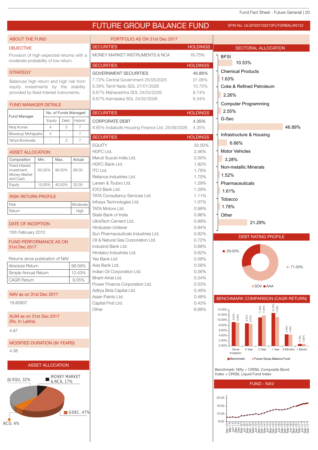## FUTURE GROUP BALANCE FUND

SFIN No. ULGF003150210FUTGRBALAN133

| <b>OBJECTIVE</b><br>Provision of high expected returns with a<br>moderate probability of low return.<br><b>STRATEGY</b><br>Balances high return and high risk from<br>equity investments by the stability<br>provided by fixed interest instruments.<br><b>FUND MANAGER DETAILS</b><br>Fund Manager<br>Niraj Kumar<br>Biswarup Mohapatra<br>Yahya Bookwala<br><b>ASSET ALLOCATION</b><br>Composition<br>Min.<br><b>Fixed Interest</b> | Equity<br>$\overline{4}$<br>$\overline{4}$<br>ä, | Debt<br>3                         | No. of Funds Managed<br>Hybrid<br>$\overline{7}$ | <b>SECURITIES</b><br>MONEY MARKET INSTRUMENTS & NCA<br><b>SECURITIES</b><br><b>GOVERNMENT SECURITIES</b><br>7.72% Central Government 25/05/2025<br>8.38% Tamil Nadu SDL 27/01/2026<br>8.67% Maharashtra SDL 24/02/2026<br>8.67% Karnataka SDL 24/02/2026<br><b>SECURITIES</b> | <b>HOLDINGS</b><br>16.75%<br><b>HOLDINGS</b><br>46.89%<br>21.06%<br>10.75%<br>8.74%<br>6.34% | <b>SECTORAL ALLOCATION</b><br><b>BFSI</b><br>10.53%<br><b>Chemical Products</b><br>1.63%<br>Coke & Refined Petroleum<br>2.26% |
|---------------------------------------------------------------------------------------------------------------------------------------------------------------------------------------------------------------------------------------------------------------------------------------------------------------------------------------------------------------------------------------------------------------------------------------|--------------------------------------------------|-----------------------------------|--------------------------------------------------|-------------------------------------------------------------------------------------------------------------------------------------------------------------------------------------------------------------------------------------------------------------------------------|----------------------------------------------------------------------------------------------|-------------------------------------------------------------------------------------------------------------------------------|
|                                                                                                                                                                                                                                                                                                                                                                                                                                       |                                                  |                                   |                                                  |                                                                                                                                                                                                                                                                               |                                                                                              |                                                                                                                               |
|                                                                                                                                                                                                                                                                                                                                                                                                                                       |                                                  |                                   |                                                  |                                                                                                                                                                                                                                                                               |                                                                                              |                                                                                                                               |
|                                                                                                                                                                                                                                                                                                                                                                                                                                       |                                                  |                                   |                                                  |                                                                                                                                                                                                                                                                               |                                                                                              |                                                                                                                               |
|                                                                                                                                                                                                                                                                                                                                                                                                                                       |                                                  |                                   |                                                  |                                                                                                                                                                                                                                                                               |                                                                                              |                                                                                                                               |
|                                                                                                                                                                                                                                                                                                                                                                                                                                       |                                                  |                                   |                                                  |                                                                                                                                                                                                                                                                               |                                                                                              |                                                                                                                               |
|                                                                                                                                                                                                                                                                                                                                                                                                                                       |                                                  |                                   |                                                  |                                                                                                                                                                                                                                                                               |                                                                                              |                                                                                                                               |
|                                                                                                                                                                                                                                                                                                                                                                                                                                       |                                                  |                                   |                                                  |                                                                                                                                                                                                                                                                               |                                                                                              |                                                                                                                               |
|                                                                                                                                                                                                                                                                                                                                                                                                                                       |                                                  |                                   |                                                  |                                                                                                                                                                                                                                                                               |                                                                                              |                                                                                                                               |
|                                                                                                                                                                                                                                                                                                                                                                                                                                       |                                                  |                                   |                                                  |                                                                                                                                                                                                                                                                               |                                                                                              | <b>Computer Programming</b>                                                                                                   |
|                                                                                                                                                                                                                                                                                                                                                                                                                                       |                                                  |                                   |                                                  |                                                                                                                                                                                                                                                                               | <b>HOLDINGS</b>                                                                              | 2.55%                                                                                                                         |
|                                                                                                                                                                                                                                                                                                                                                                                                                                       |                                                  |                                   |                                                  | <b>CORPORATE DEBT</b>                                                                                                                                                                                                                                                         | 4.35%                                                                                        | G-Sec                                                                                                                         |
|                                                                                                                                                                                                                                                                                                                                                                                                                                       |                                                  |                                   |                                                  | 8.85% Indiabulls Housing Finance Ltd. 25/09/2026                                                                                                                                                                                                                              | 4.35%                                                                                        | 46.89%                                                                                                                        |
|                                                                                                                                                                                                                                                                                                                                                                                                                                       |                                                  |                                   | $\overline{7}$                                   | <b>SECURITIES</b>                                                                                                                                                                                                                                                             | <b>HOLDINGS</b>                                                                              | Infrastructure & Housing                                                                                                      |
|                                                                                                                                                                                                                                                                                                                                                                                                                                       |                                                  | 3                                 | $\overline{7}$                                   | <b>EQUITY</b>                                                                                                                                                                                                                                                                 | 32.00%                                                                                       | 6.66%                                                                                                                         |
|                                                                                                                                                                                                                                                                                                                                                                                                                                       |                                                  |                                   |                                                  | HDFC Ltd.                                                                                                                                                                                                                                                                     | 2.46%                                                                                        | <b>Motor Vehicles</b>                                                                                                         |
|                                                                                                                                                                                                                                                                                                                                                                                                                                       |                                                  | Max.                              | Actual                                           | Maruti Suzuki India Ltd.                                                                                                                                                                                                                                                      | 2.00%                                                                                        | 3.28%                                                                                                                         |
|                                                                                                                                                                                                                                                                                                                                                                                                                                       |                                                  |                                   |                                                  | HDFC Bank Ltd.                                                                                                                                                                                                                                                                | 1.92%                                                                                        | Non-metallic Minerals                                                                                                         |
| Investment,<br>Money Market                                                                                                                                                                                                                                                                                                                                                                                                           | 60.00%                                           | 90.00%                            | 68.00                                            | <b>ITC Ltd.</b>                                                                                                                                                                                                                                                               | 1.78%                                                                                        | 1.52%                                                                                                                         |
| and Cash                                                                                                                                                                                                                                                                                                                                                                                                                              |                                                  |                                   |                                                  | Reliance Industries Ltd.<br>Larsen & Toubro Ltd.                                                                                                                                                                                                                              | 1.70%<br>1.29%                                                                               | Pharmaceuticals                                                                                                               |
| Equity                                                                                                                                                                                                                                                                                                                                                                                                                                | 10.00%                                           | 40.00%                            | 32.00                                            | <b>ICICI Bank Ltd.</b>                                                                                                                                                                                                                                                        | 1.29%                                                                                        |                                                                                                                               |
| <b>RISK RETURN PROFILE</b>                                                                                                                                                                                                                                                                                                                                                                                                            |                                                  |                                   |                                                  | TATA Consultancy Services Ltd.                                                                                                                                                                                                                                                | 1.11%                                                                                        | 1.61%                                                                                                                         |
| Risk                                                                                                                                                                                                                                                                                                                                                                                                                                  |                                                  |                                   | Moderate                                         | Infosys Technologies Ltd.                                                                                                                                                                                                                                                     | 1.07%                                                                                        | Tobacco                                                                                                                       |
| Return                                                                                                                                                                                                                                                                                                                                                                                                                                |                                                  |                                   | High                                             | <b>TATA Motors Ltd.</b>                                                                                                                                                                                                                                                       | 0.98%                                                                                        | 1.78%                                                                                                                         |
|                                                                                                                                                                                                                                                                                                                                                                                                                                       |                                                  |                                   |                                                  | State Bank of India                                                                                                                                                                                                                                                           | 0.96%                                                                                        | Other                                                                                                                         |
| <b>DATE OF INCEPTION</b>                                                                                                                                                                                                                                                                                                                                                                                                              |                                                  |                                   |                                                  | UltraTech Cement Ltd.                                                                                                                                                                                                                                                         | 0.89%<br>0.84%                                                                               | 21.29%                                                                                                                        |
| 15th February 2010                                                                                                                                                                                                                                                                                                                                                                                                                    |                                                  |                                   |                                                  | Hindustan Unilever<br>Sun Pharmaceuticals Industries Ltd.                                                                                                                                                                                                                     | 0.82%                                                                                        |                                                                                                                               |
| <b>FUND PERFORMANCE AS ON</b>                                                                                                                                                                                                                                                                                                                                                                                                         |                                                  |                                   |                                                  | Oil & Natural Gas Corporation Ltd.                                                                                                                                                                                                                                            | 0.72%                                                                                        | <b>DEBT RATING PROFILE</b>                                                                                                    |
| 31st Dec 2017                                                                                                                                                                                                                                                                                                                                                                                                                         |                                                  |                                   |                                                  | IndusInd Bank Ltd.                                                                                                                                                                                                                                                            | 0.68%                                                                                        |                                                                                                                               |
|                                                                                                                                                                                                                                                                                                                                                                                                                                       |                                                  |                                   |                                                  | Hindalco Industries Ltd.                                                                                                                                                                                                                                                      | 0.62%                                                                                        | ■ 29.00%                                                                                                                      |
| Returns since publication of NAV                                                                                                                                                                                                                                                                                                                                                                                                      |                                                  |                                   |                                                  | Yes Bank Ltd.                                                                                                                                                                                                                                                                 | 0.58%                                                                                        |                                                                                                                               |
| Absolute Return                                                                                                                                                                                                                                                                                                                                                                                                                       |                                                  |                                   | 98.09%                                           | Axis Bank Ltd.<br>Indian Oil Corporation Ltd.                                                                                                                                                                                                                                 | 0.58%                                                                                        | ■ 71.00%                                                                                                                      |
| Simple Annual Return                                                                                                                                                                                                                                                                                                                                                                                                                  |                                                  |                                   | 12.43%                                           | Bharti Airtel Ltd.                                                                                                                                                                                                                                                            | 0.56%<br>0.54%                                                                               |                                                                                                                               |
| <b>CAGR Return</b>                                                                                                                                                                                                                                                                                                                                                                                                                    |                                                  |                                   | 9.05%                                            | Power Finance Corporation Ltd.                                                                                                                                                                                                                                                | 0.53%                                                                                        | $\blacksquare$ SOV $\blacksquare$ AAA                                                                                         |
|                                                                                                                                                                                                                                                                                                                                                                                                                                       |                                                  |                                   |                                                  | Aditya Birla Capital Ltd.                                                                                                                                                                                                                                                     | 0.49%                                                                                        |                                                                                                                               |
| NAV as on 31st Dec 2017                                                                                                                                                                                                                                                                                                                                                                                                               |                                                  |                                   |                                                  | Asian Paints Ltd.                                                                                                                                                                                                                                                             | 0.48%                                                                                        | <b>BENCHMARK COMPARISON (CAGR RETURN)</b>                                                                                     |
| 19.80907                                                                                                                                                                                                                                                                                                                                                                                                                              |                                                  |                                   |                                                  | Capital First Ltd.                                                                                                                                                                                                                                                            | 0.43%                                                                                        |                                                                                                                               |
|                                                                                                                                                                                                                                                                                                                                                                                                                                       |                                                  |                                   |                                                  | Other                                                                                                                                                                                                                                                                         | 6.68%                                                                                        | 12.76%<br>11.05%<br>11.84%<br>14.00%<br>12.00%                                                                                |
| AUM as on 31st Dec 2017<br>(Rs. In Lakhs)                                                                                                                                                                                                                                                                                                                                                                                             |                                                  |                                   |                                                  |                                                                                                                                                                                                                                                                               |                                                                                              | 9.25%<br>9.05%<br>8.75%<br>8.57%<br>10.00%                                                                                    |
|                                                                                                                                                                                                                                                                                                                                                                                                                                       |                                                  |                                   |                                                  |                                                                                                                                                                                                                                                                               |                                                                                              | 8.00%<br>$4.48%$<br>$4.40%$<br>6.00%                                                                                          |
| 4.87                                                                                                                                                                                                                                                                                                                                                                                                                                  |                                                  |                                   |                                                  |                                                                                                                                                                                                                                                                               |                                                                                              | 4.00%                                                                                                                         |
| <b>MODIFIED DURATION (IN YEARS)</b>                                                                                                                                                                                                                                                                                                                                                                                                   |                                                  |                                   |                                                  |                                                                                                                                                                                                                                                                               |                                                                                              | 0.79%<br>0.82%<br>2.00%                                                                                                       |
| 4.38                                                                                                                                                                                                                                                                                                                                                                                                                                  |                                                  |                                   |                                                  |                                                                                                                                                                                                                                                                               |                                                                                              | 0.00%<br>Since<br>3 Year<br>2 Year<br>1 Year 6 Months 1 Month                                                                 |
|                                                                                                                                                                                                                                                                                                                                                                                                                                       |                                                  |                                   |                                                  |                                                                                                                                                                                                                                                                               |                                                                                              | Inception<br>Future Group Balance Fund<br>Benchmark                                                                           |
|                                                                                                                                                                                                                                                                                                                                                                                                                                       | <b>ASSET ALLOCATION</b>                          |                                   |                                                  |                                                                                                                                                                                                                                                                               |                                                                                              |                                                                                                                               |
|                                                                                                                                                                                                                                                                                                                                                                                                                                       |                                                  |                                   |                                                  |                                                                                                                                                                                                                                                                               |                                                                                              | Benchmark: Nifty + CRISIL Composite Bond                                                                                      |
| $\blacksquare$ EQU, 32%                                                                                                                                                                                                                                                                                                                                                                                                               |                                                  | <b>MONEY MARKET</b><br>& NCA, 17% |                                                  |                                                                                                                                                                                                                                                                               |                                                                                              | Index + CRISIL Liquid Fund Index                                                                                              |
|                                                                                                                                                                                                                                                                                                                                                                                                                                       |                                                  |                                   |                                                  |                                                                                                                                                                                                                                                                               |                                                                                              | <b>FUND - NAV</b>                                                                                                             |
|                                                                                                                                                                                                                                                                                                                                                                                                                                       |                                                  |                                   |                                                  |                                                                                                                                                                                                                                                                               |                                                                                              |                                                                                                                               |
|                                                                                                                                                                                                                                                                                                                                                                                                                                       |                                                  |                                   |                                                  |                                                                                                                                                                                                                                                                               |                                                                                              | 23.00                                                                                                                         |
|                                                                                                                                                                                                                                                                                                                                                                                                                                       |                                                  |                                   |                                                  |                                                                                                                                                                                                                                                                               |                                                                                              | 18.00                                                                                                                         |
|                                                                                                                                                                                                                                                                                                                                                                                                                                       |                                                  |                                   | GDEC, 47%                                        |                                                                                                                                                                                                                                                                               |                                                                                              | 13.00                                                                                                                         |
| <b>NCD, 4%</b>                                                                                                                                                                                                                                                                                                                                                                                                                        |                                                  |                                   |                                                  |                                                                                                                                                                                                                                                                               |                                                                                              | 8.00<br>FFFaaaaaaaa4444000000000 - - - -                                                                                      |
|                                                                                                                                                                                                                                                                                                                                                                                                                                       |                                                  |                                   |                                                  |                                                                                                                                                                                                                                                                               |                                                                                              |                                                                                                                               |
|                                                                                                                                                                                                                                                                                                                                                                                                                                       |                                                  |                                   |                                                  |                                                                                                                                                                                                                                                                               |                                                                                              |                                                                                                                               |